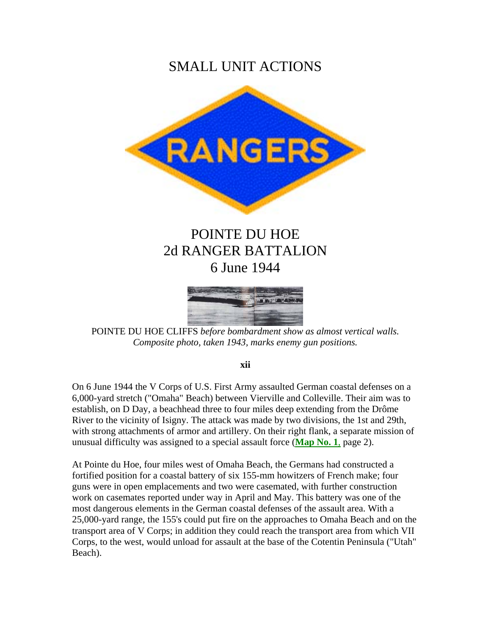# SMALL UNIT ACTIONS



# POINTE DU HOE 2d RANGER BATTALION 6 June 1944



POINTE DU HOE CLIFFS *before bombardment show as almost vertical walls. Composite photo, taken 1943, marks enemy gun positions.*

**xii** 

On 6 June 1944 the V Corps of U.S. First Army assaulted German coastal defenses on a 6,000-yard stretch ("Omaha" Beach) between Vierville and Colleville. Their aim was to establish, on D Day, a beachhead three to four miles deep extending from the Drôme River to the vicinity of Isigny. The attack was made by two divisions, the 1st and 29th, with strong attachments of armor and artillery. On their right flank, a separate mission of unusual difficulty was assigned to a special assault force (**Map No. 1**, page 2).

At Pointe du Hoe, four miles west of Omaha Beach, the Germans had constructed a fortified position for a coastal battery of six 155-mm howitzers of French make; four guns were in open emplacements and two were casemated, with further construction work on casemates reported under way in April and May. This battery was one of the most dangerous elements in the German coastal defenses of the assault area. With a 25,000-yard range, the 155's could put fire on the approaches to Omaha Beach and on the transport area of V Corps; in addition they could reach the transport area from which VII Corps, to the west, would unload for assault at the base of the Cotentin Peninsula ("Utah" Beach).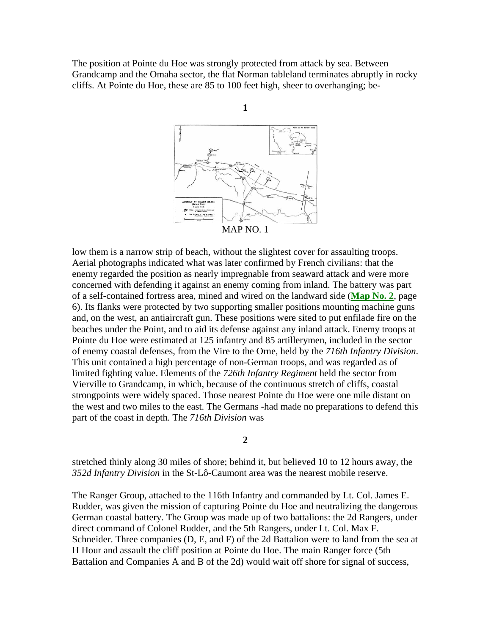The position at Pointe du Hoe was strongly protected from attack by sea. Between Grandcamp and the Omaha sector, the flat Norman tableland terminates abruptly in rocky cliffs. At Pointe du Hoe, these are 85 to 100 feet high, sheer to overhanging; be-



low them is a narrow strip of beach, without the slightest cover for assaulting troops. Aerial photographs indicated what was later confirmed by French civilians: that the enemy regarded the position as nearly impregnable from seaward attack and were more concerned with defending it against an enemy coming from inland. The battery was part of a self-contained fortress area, mined and wired on the landward side (**Map No. 2**, page 6). Its flanks were protected by two supporting smaller positions mounting machine guns and, on the west, an antiaircraft gun. These positions were sited to put enfilade fire on the beaches under the Point, and to aid its defense against any inland attack. Enemy troops at Pointe du Hoe were estimated at 125 infantry and 85 artillerymen, included in the sector of enemy coastal defenses, from the Vire to the Orne, held by the *716th Infantry Division*. This unit contained a high percentage of non-German troops, and was regarded as of limited fighting value. Elements of the *726th Infantry Regiment* held the sector from Vierville to Grandcamp, in which, because of the continuous stretch of cliffs, coastal strongpoints were widely spaced. Those nearest Pointe du Hoe were one mile distant on the west and two miles to the east. The Germans -had made no preparations to defend this part of the coast in depth. The *716th Division* was

**2** 

stretched thinly along 30 miles of shore; behind it, but believed 10 to 12 hours away, the *352d Infantry Division* in the St-Lô-Caumont area was the nearest mobile reserve.

The Ranger Group, attached to the 116th Infantry and commanded by Lt. Col. James E. Rudder, was given the mission of capturing Pointe du Hoe and neutralizing the dangerous German coastal battery. The Group was made up of two battalions: the 2d Rangers, under direct command of Colonel Rudder, and the 5th Rangers, under Lt. Col. Max F. Schneider. Three companies (D, E, and F) of the 2d Battalion were to land from the sea at H Hour and assault the cliff position at Pointe du Hoe. The main Ranger force (5th Battalion and Companies A and B of the 2d) would wait off shore for signal of success,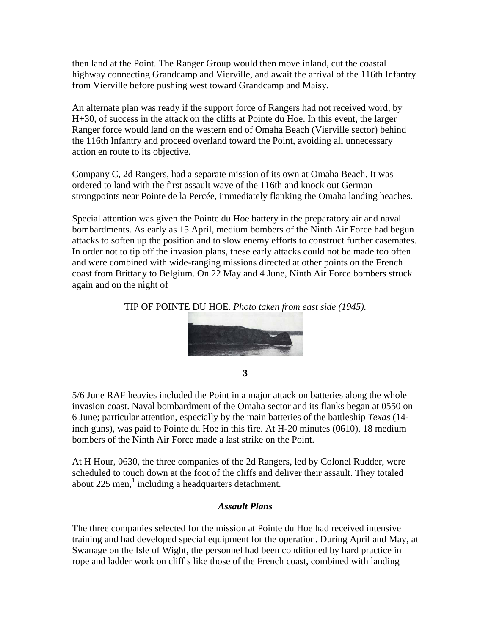then land at the Point. The Ranger Group would then move inland, cut the coastal highway connecting Grandcamp and Vierville, and await the arrival of the 116th Infantry from Vierville before pushing west toward Grandcamp and Maisy.

An alternate plan was ready if the support force of Rangers had not received word, by H+30, of success in the attack on the cliffs at Pointe du Hoe. In this event, the larger Ranger force would land on the western end of Omaha Beach (Vierville sector) behind the 116th Infantry and proceed overland toward the Point, avoiding all unnecessary action en route to its objective.

Company C, 2d Rangers, had a separate mission of its own at Omaha Beach. It was ordered to land with the first assault wave of the 116th and knock out German strongpoints near Pointe de la Percée, immediately flanking the Omaha landing beaches.

Special attention was given the Pointe du Hoe battery in the preparatory air and naval bombardments. As early as 15 April, medium bombers of the Ninth Air Force had begun attacks to soften up the position and to slow enemy efforts to construct further casemates. In order not to tip off the invasion plans, these early attacks could not be made too often and were combined with wide-ranging missions directed at other points on the French coast from Brittany to Belgium. On 22 May and 4 June, Ninth Air Force bombers struck again and on the night of



**3**

5/6 June RAF heavies included the Point in a major attack on batteries along the whole invasion coast. Naval bombardment of the Omaha sector and its flanks began at 0550 on 6 June; particular attention, especially by the main batteries of the battleship *Texas* (14 inch guns), was paid to Pointe du Hoe in this fire. At H-20 minutes (0610), 18 medium bombers of the Ninth Air Force made a last strike on the Point.

At H Hour, 0630, the three companies of the 2d Rangers, led by Colonel Rudder, were scheduled to touch down at the foot of the cliffs and deliver their assault. They totaled about 225 men, $\frac{1}{1}$  including a headquarters detachment.

# *Assault Plans*

The three companies selected for the mission at Pointe du Hoe had received intensive training and had developed special equipment for the operation. During April and May, at Swanage on the Isle of Wight, the personnel had been conditioned by hard practice in rope and ladder work on cliff s like those of the French coast, combined with landing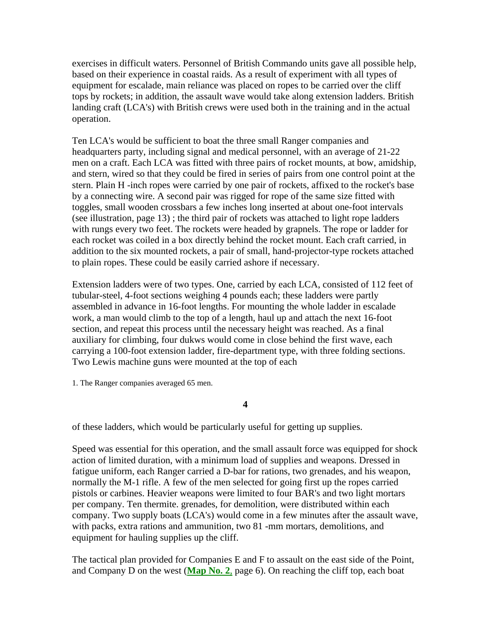exercises in difficult waters. Personnel of British Commando units gave all possible help, based on their experience in coastal raids. As a result of experiment with all types of equipment for escalade, main reliance was placed on ropes to be carried over the cliff tops by rockets; in addition, the assault wave would take along extension ladders. British landing craft (LCA's) with British crews were used both in the training and in the actual operation.

Ten LCA's would be sufficient to boat the three small Ranger companies and headquarters party, including signal and medical personnel, with an average of 21-22 men on a craft. Each LCA was fitted with three pairs of rocket mounts, at bow, amidship, and stern, wired so that they could be fired in series of pairs from one control point at the stern. Plain H -inch ropes were carried by one pair of rockets, affixed to the rocket's base by a connecting wire. A second pair was rigged for rope of the same size fitted with toggles, small wooden crossbars a few inches long inserted at about one-foot intervals (see illustration, page 13) ; the third pair of rockets was attached to light rope ladders with rungs every two feet. The rockets were headed by grapnels. The rope or ladder for each rocket was coiled in a box directly behind the rocket mount. Each craft carried, in addition to the six mounted rockets, a pair of small, hand-projector-type rockets attached to plain ropes. These could be easily carried ashore if necessary.

Extension ladders were of two types. One, carried by each LCA, consisted of 112 feet of tubular-steel, 4-foot sections weighing 4 pounds each; these ladders were partly assembled in advance in 16-foot lengths. For mounting the whole ladder in escalade work, a man would climb to the top of a length, haul up and attach the next 16-foot section, and repeat this process until the necessary height was reached. As a final auxiliary for climbing, four dukws would come in close behind the first wave, each carrying a 100-foot extension ladder, fire-department type, with three folding sections. Two Lewis machine guns were mounted at the top of each

1. The Ranger companies averaged 65 men.

**4** 

of these ladders, which would be particularly useful for getting up supplies.

Speed was essential for this operation, and the small assault force was equipped for shock action of limited duration, with a minimum load of supplies and weapons. Dressed in fatigue uniform, each Ranger carried a D-bar for rations, two grenades, and his weapon, normally the M-1 rifle. A few of the men selected for going first up the ropes carried pistols or carbines. Heavier weapons were limited to four BAR's and two light mortars per company. Ten thermite. grenades, for demolition, were distributed within each company. Two supply boats (LCA's) would come in a few minutes after the assault wave, with packs, extra rations and ammunition, two 81 -mm mortars, demolitions, and equipment for hauling supplies up the cliff.

The tactical plan provided for Companies E and F to assault on the east side of the Point, and Company D on the west (**Map No. 2**, page 6). On reaching the cliff top, each boat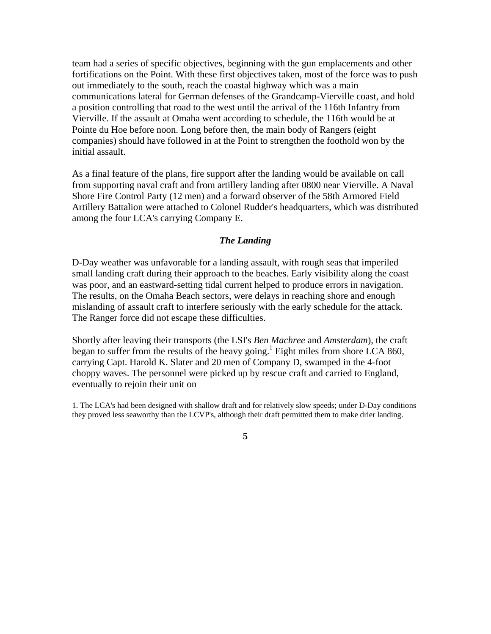team had a series of specific objectives, beginning with the gun emplacements and other fortifications on the Point. With these first objectives taken, most of the force was to push out immediately to the south, reach the coastal highway which was a main communications lateral for German defenses of the Grandcamp-Vierville coast, and hold a position controlling that road to the west until the arrival of the 116th Infantry from Vierville. If the assault at Omaha went according to schedule, the 116th would be at Pointe du Hoe before noon. Long before then, the main body of Rangers (eight companies) should have followed in at the Point to strengthen the foothold won by the initial assault.

As a final feature of the plans, fire support after the landing would be available on call from supporting naval craft and from artillery landing after 0800 near Vierville. A Naval Shore Fire Control Party (12 men) and a forward observer of the 58th Armored Field Artillery Battalion were attached to Colonel Rudder's headquarters, which was distributed among the four LCA's carrying Company E.

#### *The Landing*

D-Day weather was unfavorable for a landing assault, with rough seas that imperiled small landing craft during their approach to the beaches. Early visibility along the coast was poor, and an eastward-setting tidal current helped to produce errors in navigation. The results, on the Omaha Beach sectors, were delays in reaching shore and enough mislanding of assault craft to interfere seriously with the early schedule for the attack. The Ranger force did not escape these difficulties.

Shortly after leaving their transports (the LSI's *Ben Machree* and *Amsterdam*), the craft began to suffer from the results of the heavy going.<sup>1</sup> Eight miles from shore LCA 860, carrying Capt. Harold K. Slater and 20 men of Company D, swamped in the 4-foot choppy waves. The personnel were picked up by rescue craft and carried to England, eventually to rejoin their unit on

1. The LCA's had been designed with shallow draft and for relatively slow speeds; under D-Day conditions they proved less seaworthy than the LCVP's, although their draft permitted them to make drier landing.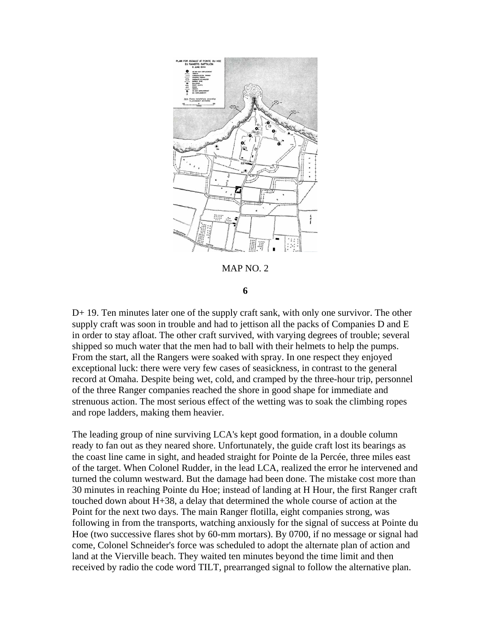

MAP NO. 2

**6** 

D+ 19. Ten minutes later one of the supply craft sank, with only one survivor. The other supply craft was soon in trouble and had to jettison all the packs of Companies D and E in order to stay afloat. The other craft survived, with varying degrees of trouble; several shipped so much water that the men had to ball with their helmets to help the pumps. From the start, all the Rangers were soaked with spray. In one respect they enjoyed exceptional luck: there were very few cases of seasickness, in contrast to the general record at Omaha. Despite being wet, cold, and cramped by the three-hour trip, personnel of the three Ranger companies reached the shore in good shape for immediate and strenuous action. The most serious effect of the wetting was to soak the climbing ropes and rope ladders, making them heavier.

The leading group of nine surviving LCA's kept good formation, in a double column ready to fan out as they neared shore. Unfortunately, the guide craft lost its bearings as the coast line came in sight, and headed straight for Pointe de la Percée, three miles east of the target. When Colonel Rudder, in the lead LCA, realized the error he intervened and turned the column westward. But the damage had been done. The mistake cost more than 30 minutes in reaching Pointe du Hoe; instead of landing at H Hour, the first Ranger craft touched down about H+38, a delay that determined the whole course of action at the Point for the next two days. The main Ranger flotilla, eight companies strong, was following in from the transports, watching anxiously for the signal of success at Pointe du Hoe (two successive flares shot by 60-mm mortars). By 0700, if no message or signal had come, Colonel Schneider's force was scheduled to adopt the alternate plan of action and land at the Vierville beach. They waited ten minutes beyond the time limit and then received by radio the code word TILT, prearranged signal to follow the alternative plan.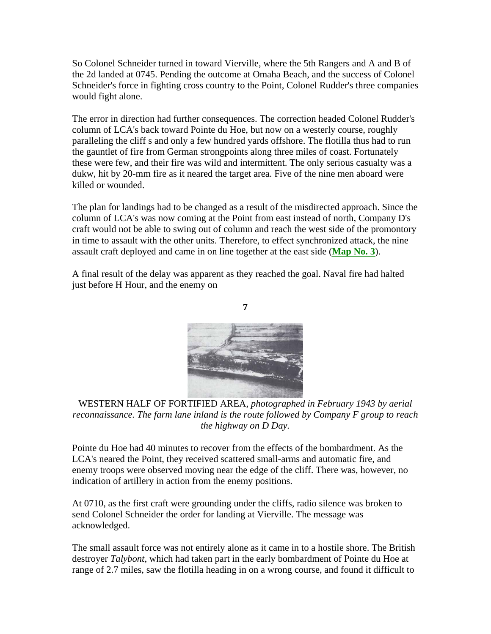So Colonel Schneider turned in toward Vierville, where the 5th Rangers and A and B of the 2d landed at 0745. Pending the outcome at Omaha Beach, and the success of Colonel Schneider's force in fighting cross country to the Point, Colonel Rudder's three companies would fight alone.

The error in direction had further consequences. The correction headed Colonel Rudder's column of LCA's back toward Pointe du Hoe, but now on a westerly course, roughly paralleling the cliff s and only a few hundred yards offshore. The flotilla thus had to run the gauntlet of fire from German strongpoints along three miles of coast. Fortunately these were few, and their fire was wild and intermittent. The only serious casualty was a dukw, hit by 20-mm fire as it neared the target area. Five of the nine men aboard were killed or wounded.

The plan for landings had to be changed as a result of the misdirected approach. Since the column of LCA's was now coming at the Point from east instead of north, Company D's craft would not be able to swing out of column and reach the west side of the promontory in time to assault with the other units. Therefore, to effect synchronized attack, the nine assault craft deployed and came in on line together at the east side (**Map No. 3**).

A final result of the delay was apparent as they reached the goal. Naval fire had halted just before H Hour, and the enemy on



WESTERN HALF OF FORTIFIED AREA, *photographed in February 1943 by aerial reconnaissance. The farm lane inland is the route followed by Company F group to reach the highway on D Day.*

Pointe du Hoe had 40 minutes to recover from the effects of the bombardment. As the LCA's neared the Point, they received scattered small-arms and automatic fire, and enemy troops were observed moving near the edge of the cliff. There was, however, no indication of artillery in action from the enemy positions.

At 0710, as the first craft were grounding under the cliffs, radio silence was broken to send Colonel Schneider the order for landing at Vierville. The message was acknowledged.

The small assault force was not entirely alone as it came in to a hostile shore. The British destroyer *Talybont*, which had taken part in the early bombardment of Pointe du Hoe at range of 2.7 miles, saw the flotilla heading in on a wrong course, and found it difficult to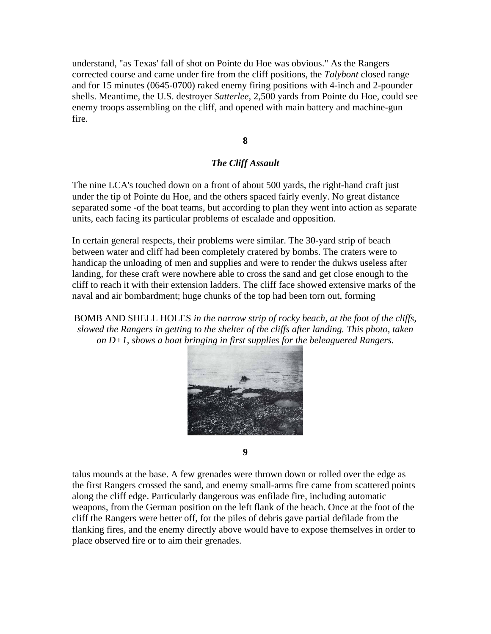understand, "as Texas' fall of shot on Pointe du Hoe was obvious." As the Rangers corrected course and came under fire from the cliff positions, the *Talybont* closed range and for 15 minutes (0645-0700) raked enemy firing positions with 4-inch and 2-pounder shells. Meantime, the U.S. destroyer *Satterlee*, 2,500 yards from Pointe du Hoe, could see enemy troops assembling on the cliff, and opened with main battery and machine-gun fire.

**8** 

## *The Cliff Assault*

The nine LCA's touched down on a front of about 500 yards, the right-hand craft just under the tip of Pointe du Hoe, and the others spaced fairly evenly. No great distance separated some -of the boat teams, but according to plan they went into action as separate units, each facing its particular problems of escalade and opposition.

In certain general respects, their problems were similar. The 30-yard strip of beach between water and cliff had been completely cratered by bombs. The craters were to handicap the unloading of men and supplies and were to render the dukws useless after landing, for these craft were nowhere able to cross the sand and get close enough to the cliff to reach it with their extension ladders. The cliff face showed extensive marks of the naval and air bombardment; huge chunks of the top had been torn out, forming

BOMB AND SHELL HOLES *in the narrow strip of rocky beach, at the foot of the cliffs, slowed the Rangers in getting to the shelter of the cliffs after landing. This photo, taken on D+1, shows a boat bringing in first supplies for the beleaguered Rangers.* 



**9** 

talus mounds at the base. A few grenades were thrown down or rolled over the edge as the first Rangers crossed the sand, and enemy small-arms fire came from scattered points along the cliff edge. Particularly dangerous was enfilade fire, including automatic weapons, from the German position on the left flank of the beach. Once at the foot of the cliff the Rangers were better off, for the piles of debris gave partial defilade from the flanking fires, and the enemy directly above would have to expose themselves in order to place observed fire or to aim their grenades.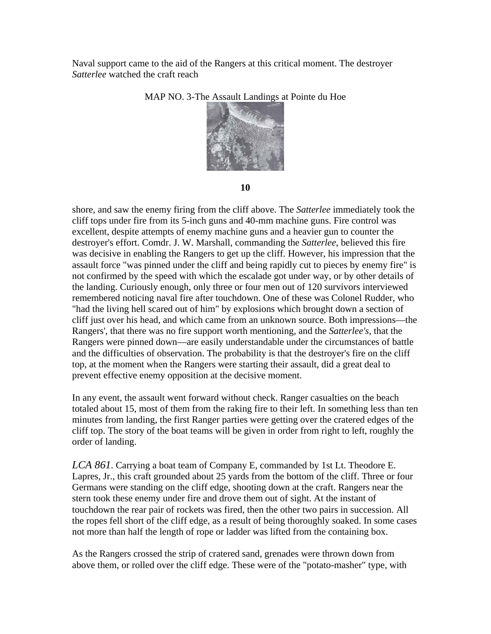Naval support came to the aid of the Rangers at this critical moment. The destroyer *Satterlee* watched the craft reach





**10** 

shore, and saw the enemy firing from the cliff above. The *Satterlee* immediately took the cliff tops under fire from its 5-inch guns and 40-mm machine guns. Fire control was excellent, despite attempts of enemy machine guns and a heavier gun to counter the destroyer's effort. Comdr. J. W. Marshall, commanding the *Satterlee*, believed this fire was decisive in enabling the Rangers to get up the cliff. However, his impression that the assault force "was pinned under the cliff and being rapidly cut to pieces by enemy fire" is not confirmed by the speed with which the escalade got under way, or by other details of the landing. Curiously enough, only three or four men out of 120 survivors interviewed remembered noticing naval fire after touchdown. One of these was Colonel Rudder, who "had the living hell scared out of him" by explosions which brought down a section of cliff just over his head, and which came from an unknown source. Both impressions—the Rangers', that there was no fire support worth mentioning, and the *Satterlee's*, that the Rangers were pinned down—are easily understandable under the circumstances of battle and the difficulties of observation. The probability is that the destroyer's fire on the cliff top, at the moment when the Rangers were starting their assault, did a great deal to prevent effective enemy opposition at the decisive moment.

In any event, the assault went forward without check. Ranger casualties on the beach totaled about 15, most of them from the raking fire to their left. In something less than ten minutes from landing, the first Ranger parties were getting over the cratered edges of the cliff top. The story of the boat teams will be given in order from right to left, roughly the order of landing.

*LCA 861*. Carrying a boat team of Company E, commanded by 1st Lt. Theodore E. Lapres, Jr., this craft grounded about 25 yards from the bottom of the cliff. Three or four Germans were standing on the cliff edge, shooting down at the craft. Rangers near the stern took these enemy under fire and drove them out of sight. At the instant of touchdown the rear pair of rockets was fired, then the other two pairs in succession. All the ropes fell short of the cliff edge, as a result of being thoroughly soaked. In some cases not more than half the length of rope or ladder was lifted from the containing box.

As the Rangers crossed the strip of cratered sand, grenades were thrown down from above them, or rolled over the cliff edge. These were of the "potato-masher" type, with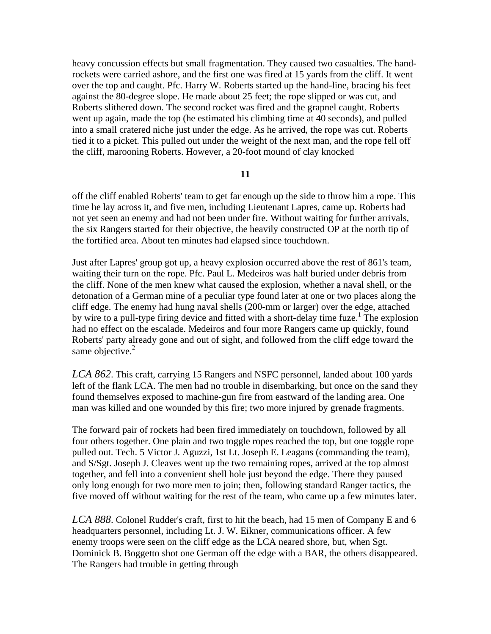heavy concussion effects but small fragmentation. They caused two casualties. The handrockets were carried ashore, and the first one was fired at 15 yards from the cliff. It went over the top and caught. Pfc. Harry W. Roberts started up the hand-line, bracing his feet against the 80-degree slope. He made about 25 feet; the rope slipped or was cut, and Roberts slithered down. The second rocket was fired and the grapnel caught. Roberts went up again, made the top (he estimated his climbing time at 40 seconds), and pulled into a small cratered niche just under the edge. As he arrived, the rope was cut. Roberts tied it to a picket. This pulled out under the weight of the next man, and the rope fell off the cliff, marooning Roberts. However, a 20-foot mound of clay knocked

#### **11**

off the cliff enabled Roberts' team to get far enough up the side to throw him a rope. This time he lay across it, and five men, including Lieutenant Lapres, came up. Roberts had not yet seen an enemy and had not been under fire. Without waiting for further arrivals, the six Rangers started for their objective, the heavily constructed OP at the north tip of the fortified area. About ten minutes had elapsed since touchdown.

Just after Lapres' group got up, a heavy explosion occurred above the rest of 861's team, waiting their turn on the rope. Pfc. Paul L. Medeiros was half buried under debris from the cliff. None of the men knew what caused the explosion, whether a naval shell, or the detonation of a German mine of a peculiar type found later at one or two places along the cliff edge. The enemy had hung naval shells (200-mm or larger) over the edge, attached by wire to a pull-type firing device and fitted with a short-delay time fuze.<sup>1</sup> The explosion had no effect on the escalade. Medeiros and four more Rangers came up quickly, found Roberts' party already gone and out of sight, and followed from the cliff edge toward the same objective. $2$ 

*LCA 862*. This craft, carrying 15 Rangers and NSFC personnel, landed about 100 yards left of the flank LCA. The men had no trouble in disembarking, but once on the sand they found themselves exposed to machine-gun fire from eastward of the landing area. One man was killed and one wounded by this fire; two more injured by grenade fragments.

The forward pair of rockets had been fired immediately on touchdown, followed by all four others together. One plain and two toggle ropes reached the top, but one toggle rope pulled out. Tech. 5 Victor J. Aguzzi, 1st Lt. Joseph E. Leagans (commanding the team), and S/Sgt. Joseph J. Cleaves went up the two remaining ropes, arrived at the top almost together, and fell into a convenient shell hole just beyond the edge. There they paused only long enough for two more men to join; then, following standard Ranger tactics, the five moved off without waiting for the rest of the team, who came up a few minutes later.

*LCA 888*. Colonel Rudder's craft, first to hit the beach, had 15 men of Company E and 6 headquarters personnel, including Lt. J. W. Eikner, communications officer. A few enemy troops were seen on the cliff edge as the LCA neared shore, but, when Sgt. Dominick B. Boggetto shot one German off the edge with a BAR, the others disappeared. The Rangers had trouble in getting through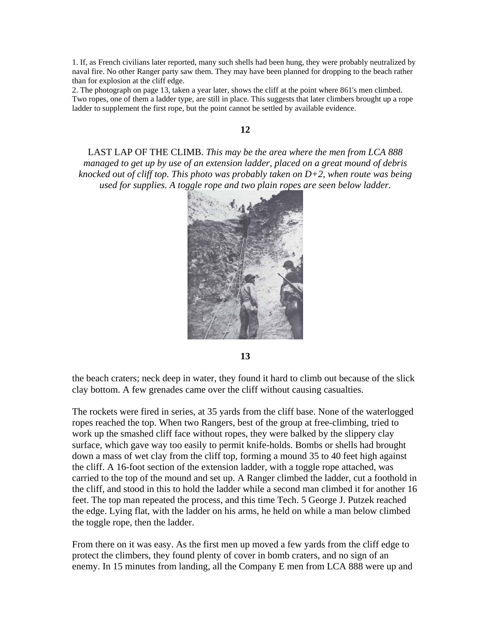1. If, as French civilians later reported, many such shells had been hung, they were probably neutralized by naval fire. No other Ranger party saw them. They may have been planned for dropping to the beach rather than for explosion at the cliff edge.

2. The photograph on page 13, taken a year later, shows the cliff at the point where 861's men climbed. Two ropes, one of them a ladder type, are still in place. This suggests that later climbers brought up a rope ladder to supplement the first rope, but the point cannot be settled by available evidence.

#### **12**

LAST LAP OF THE CLIMB. *This may be the area where the men from LCA 888 managed to get up by use of an extension ladder, placed on a great mound of debris knocked out of cliff top. This photo was probably taken on D+2, when route was being used for supplies. A toggle rope and two plain ropes are seen below ladder.*



**13** 

the beach craters; neck deep in water, they found it hard to climb out because of the slick clay bottom. A few grenades came over the cliff without causing casualties.

The rockets were fired in series, at 35 yards from the cliff base. None of the waterlogged ropes reached the top. When two Rangers, best of the group at free-climbing, tried to work up the smashed cliff face without ropes, they were balked by the slippery clay surface, which gave way too easily to permit knife-holds. Bombs or shells had brought down a mass of wet clay from the cliff top, forming a mound 35 to 40 feet high against the cliff. A 16-foot section of the extension ladder, with a toggle rope attached, was carried to the top of the mound and set up. A Ranger climbed the ladder, cut a foothold in the cliff, and stood in this to hold the ladder while a second man climbed it for another 16 feet. The top man repeated the process, and this time Tech. 5 George J. Putzek reached the edge. Lying flat, with the ladder on his arms, he held on while a man below climbed the toggle rope, then the ladder.

From there on it was easy. As the first men up moved a few yards from the cliff edge to protect the climbers, they found plenty of cover in bomb craters, and no sign of an enemy. In 15 minutes from landing, all the Company E men from LCA 888 were up and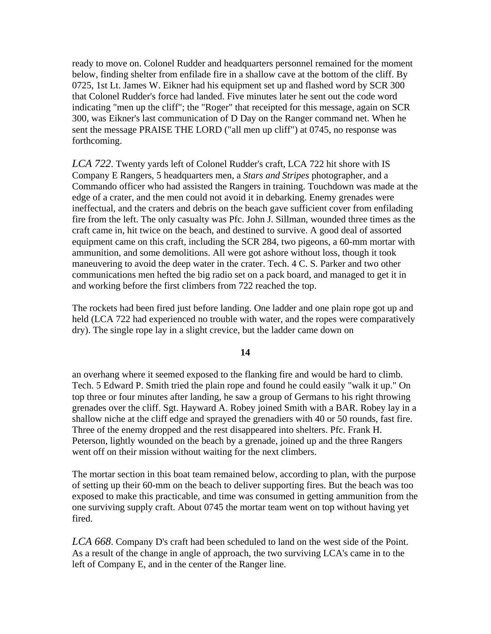ready to move on. Colonel Rudder and headquarters personnel remained for the moment below, finding shelter from enfilade fire in a shallow cave at the bottom of the cliff. By 0725, 1st Lt. James W. Eikner had his equipment set up and flashed word by SCR 300 that Colonel Rudder's force had landed. Five minutes later he sent out the code word indicating "men up the cliff"; the "Roger" that receipted for this message, again on SCR 300, was Eikner's last communication of D Day on the Ranger command net. When he sent the message PRAISE THE LORD ("all men up cliff") at 0745, no response was forthcoming.

*LCA 722*. Twenty yards left of Colonel Rudder's craft, LCA 722 hit shore with IS Company E Rangers, 5 headquarters men, a *Stars and Stripes* photographer, and a Commando officer who had assisted the Rangers in training. Touchdown was made at the edge of a crater, and the men could not avoid it in debarking. Enemy grenades were ineffectual, and the craters and debris on the beach gave sufficient cover from enfilading fire from the left. The only casualty was Pfc. John J. Sillman, wounded three times as the craft came in, hit twice on the beach, and destined to survive. A good deal of assorted equipment came on this craft, including the SCR 284, two pigeons, a 60-mm mortar with ammunition, and some demolitions. All were got ashore without loss, though it took maneuvering to avoid the deep water in the crater. Tech. 4 C. S. Parker and two other communications men hefted the big radio set on a pack board, and managed to get it in and working before the first climbers from 722 reached the top.

The rockets had been fired just before landing. One ladder and one plain rope got up and held (LCA 722 had experienced no trouble with water, and the ropes were comparatively dry). The single rope lay in a slight crevice, but the ladder came down on

### **14**

an overhang where it seemed exposed to the flanking fire and would be hard to climb. Tech. 5 Edward P. Smith tried the plain rope and found he could easily "walk it up." On top three or four minutes after landing, he saw a group of Germans to his right throwing grenades over the cliff. Sgt. Hayward A. Robey joined Smith with a BAR. Robey lay in a shallow niche at the cliff edge and sprayed the grenadiers with 40 or 50 rounds, fast fire. Three of the enemy dropped and the rest disappeared into shelters. Pfc. Frank H. Peterson, lightly wounded on the beach by a grenade, joined up and the three Rangers went off on their mission without waiting for the next climbers.

The mortar section in this boat team remained below, according to plan, with the purpose of setting up their 60-mm on the beach to deliver supporting fires. But the beach was too exposed to make this practicable, and time was consumed in getting ammunition from the one surviving supply craft. About 0745 the mortar team went on top without having yet fired.

*LCA 668*. Company D's craft had been scheduled to land on the west side of the Point. As a result of the change in angle of approach, the two surviving LCA's came in to the left of Company E, and in the center of the Ranger line.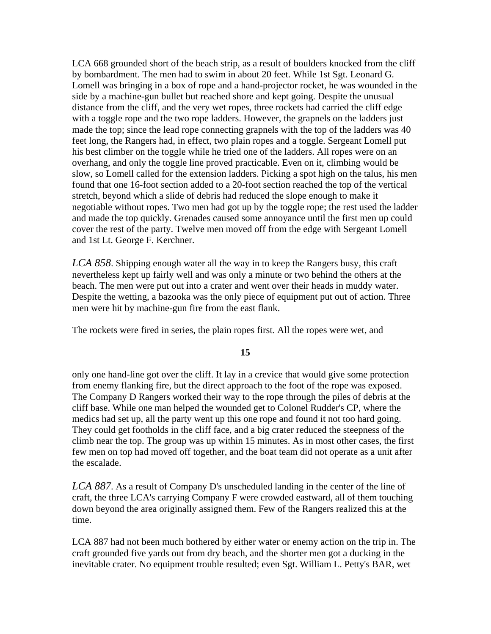LCA 668 grounded short of the beach strip, as a result of boulders knocked from the cliff by bombardment. The men had to swim in about 20 feet. While 1st Sgt. Leonard G. Lomell was bringing in a box of rope and a hand-projector rocket, he was wounded in the side by a machine-gun bullet but reached shore and kept going. Despite the unusual distance from the cliff, and the very wet ropes, three rockets had carried the cliff edge with a toggle rope and the two rope ladders. However, the grapnels on the ladders just made the top; since the lead rope connecting grapnels with the top of the ladders was 40 feet long, the Rangers had, in effect, two plain ropes and a toggle. Sergeant Lomell put his best climber on the toggle while he tried one of the ladders. All ropes were on an overhang, and only the toggle line proved practicable. Even on it, climbing would be slow, so Lomell called for the extension ladders. Picking a spot high on the talus, his men found that one 16-foot section added to a 20-foot section reached the top of the vertical stretch, beyond which a slide of debris had reduced the slope enough to make it negotiable without ropes. Two men had got up by the toggle rope; the rest used the ladder and made the top quickly. Grenades caused some annoyance until the first men up could cover the rest of the party. Twelve men moved off from the edge with Sergeant Lomell and 1st Lt. George F. Kerchner.

*LCA 858*. Shipping enough water all the way in to keep the Rangers busy, this craft nevertheless kept up fairly well and was only a minute or two behind the others at the beach. The men were put out into a crater and went over their heads in muddy water. Despite the wetting, a bazooka was the only piece of equipment put out of action. Three men were hit by machine-gun fire from the east flank.

The rockets were fired in series, the plain ropes first. All the ropes were wet, and

#### **15**

only one hand-line got over the cliff. It lay in a crevice that would give some protection from enemy flanking fire, but the direct approach to the foot of the rope was exposed. The Company D Rangers worked their way to the rope through the piles of debris at the cliff base. While one man helped the wounded get to Colonel Rudder's CP, where the medics had set up, all the party went up this one rope and found it not too hard going. They could get footholds in the cliff face, and a big crater reduced the steepness of the climb near the top. The group was up within 15 minutes. As in most other cases, the first few men on top had moved off together, and the boat team did not operate as a unit after the escalade.

*LCA 887*. As a result of Company D's unscheduled landing in the center of the line of craft, the three LCA's carrying Company F were crowded eastward, all of them touching down beyond the area originally assigned them. Few of the Rangers realized this at the time.

LCA 887 had not been much bothered by either water or enemy action on the trip in. The craft grounded five yards out from dry beach, and the shorter men got a ducking in the inevitable crater. No equipment trouble resulted; even Sgt. William L. Petty's BAR, wet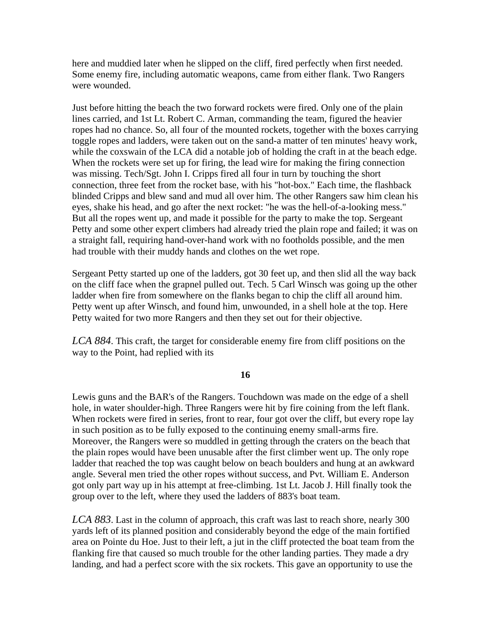here and muddied later when he slipped on the cliff, fired perfectly when first needed. Some enemy fire, including automatic weapons, came from either flank. Two Rangers were wounded.

Just before hitting the beach the two forward rockets were fired. Only one of the plain lines carried, and 1st Lt. Robert C. Arman, commanding the team, figured the heavier ropes had no chance. So, all four of the mounted rockets, together with the boxes carrying toggle ropes and ladders, were taken out on the sand-a matter of ten minutes' heavy work, while the coxswain of the LCA did a notable job of holding the craft in at the beach edge. When the rockets were set up for firing, the lead wire for making the firing connection was missing. Tech/Sgt. John I. Cripps fired all four in turn by touching the short connection, three feet from the rocket base, with his "hot-box." Each time, the flashback blinded Cripps and blew sand and mud all over him. The other Rangers saw him clean his eyes, shake his head, and go after the next rocket: "he was the hell-of-a-looking mess." But all the ropes went up, and made it possible for the party to make the top. Sergeant Petty and some other expert climbers had already tried the plain rope and failed; it was on a straight fall, requiring hand-over-hand work with no footholds possible, and the men had trouble with their muddy hands and clothes on the wet rope.

Sergeant Petty started up one of the ladders, got 30 feet up, and then slid all the way back on the cliff face when the grapnel pulled out. Tech. 5 Carl Winsch was going up the other ladder when fire from somewhere on the flanks began to chip the cliff all around him. Petty went up after Winsch, and found him, unwounded, in a shell hole at the top. Here Petty waited for two more Rangers and then they set out for their objective.

*LCA 884*. This craft, the target for considerable enemy fire from cliff positions on the way to the Point, had replied with its

#### **16**

Lewis guns and the BAR's of the Rangers. Touchdown was made on the edge of a shell hole, in water shoulder-high. Three Rangers were hit by fire coining from the left flank. When rockets were fired in series, front to rear, four got over the cliff, but every rope lay in such position as to be fully exposed to the continuing enemy small-arms fire. Moreover, the Rangers were so muddled in getting through the craters on the beach that the plain ropes would have been unusable after the first climber went up. The only rope ladder that reached the top was caught below on beach boulders and hung at an awkward angle. Several men tried the other ropes without success, and Pvt. William E. Anderson got only part way up in his attempt at free-climbing. 1st Lt. Jacob J. Hill finally took the group over to the left, where they used the ladders of 883's boat team.

*LCA 883*. Last in the column of approach, this craft was last to reach shore, nearly 300 yards left of its planned position and considerably beyond the edge of the main fortified area on Pointe du Hoe. Just to their left, a jut in the cliff protected the boat team from the flanking fire that caused so much trouble for the other landing parties. They made a dry landing, and had a perfect score with the six rockets. This gave an opportunity to use the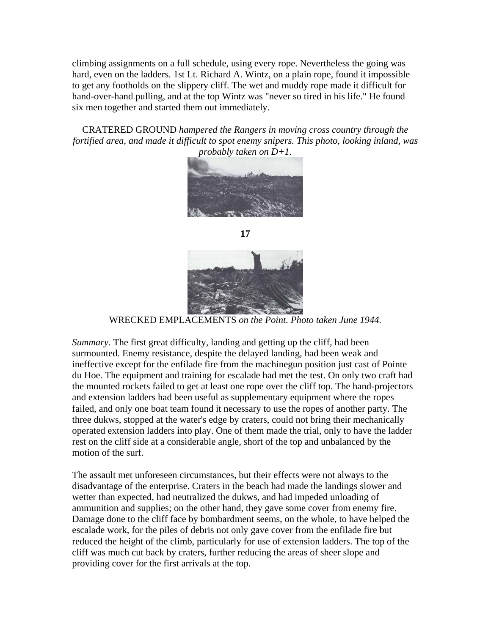climbing assignments on a full schedule, using every rope. Nevertheless the going was hard, even on the ladders. 1st Lt. Richard A. Wintz, on a plain rope, found it impossible to get any footholds on the slippery cliff. The wet and muddy rope made it difficult for hand-over-hand pulling, and at the top Wintz was "never so tired in his life." He found six men together and started them out immediately.

CRATERED GROUND *hampered the Rangers in moving cross country through the fortified area, and made it difficult to spot enemy snipers. This photo, looking inland, was probably taken on D+1.* 



**17** 



WRECKED EMPLACEMENTS *on the Point. Photo taken June 1944.*

*Summary*. The first great difficulty, landing and getting up the cliff, had been surmounted. Enemy resistance, despite the delayed landing, had been weak and ineffective except for the enfilade fire from the machinegun position just cast of Pointe du Hoe. The equipment and training for escalade had met the test. On only two craft had the mounted rockets failed to get at least one rope over the cliff top. The hand-projectors and extension ladders had been useful as supplementary equipment where the ropes failed, and only one boat team found it necessary to use the ropes of another party. The three dukws, stopped at the water's edge by craters, could not bring their mechanically operated extension ladders into play. One of them made the trial, only to have the ladder rest on the cliff side at a considerable angle, short of the top and unbalanced by the motion of the surf.

The assault met unforeseen circumstances, but their effects were not always to the disadvantage of the enterprise. Craters in the beach had made the landings slower and wetter than expected, had neutralized the dukws, and had impeded unloading of ammunition and supplies; on the other hand, they gave some cover from enemy fire. Damage done to the cliff face by bombardment seems, on the whole, to have helped the escalade work, for the piles of debris not only gave cover from the enfilade fire but reduced the height of the climb, particularly for use of extension ladders. The top of the cliff was much cut back by craters, further reducing the areas of sheer slope and providing cover for the first arrivals at the top.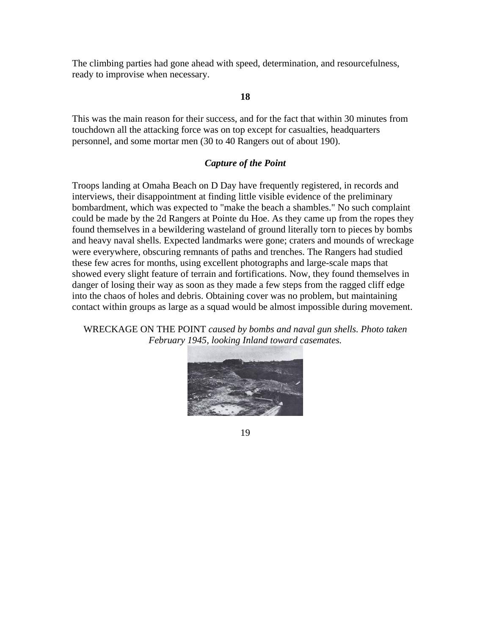The climbing parties had gone ahead with speed, determination, and resourcefulness, ready to improvise when necessary.

#### **18**

This was the main reason for their success, and for the fact that within 30 minutes from touchdown all the attacking force was on top except for casualties, headquarters personnel, and some mortar men (30 to 40 Rangers out of about 190).

#### *Capture of the Point*

Troops landing at Omaha Beach on D Day have frequently registered, in records and interviews, their disappointment at finding little visible evidence of the preliminary bombardment, which was expected to "make the beach a shambles." No such complaint could be made by the 2d Rangers at Pointe du Hoe. As they came up from the ropes they found themselves in a bewildering wasteland of ground literally torn to pieces by bombs and heavy naval shells. Expected landmarks were gone; craters and mounds of wreckage were everywhere, obscuring remnants of paths and trenches. The Rangers had studied these few acres for months, using excellent photographs and large-scale maps that showed every slight feature of terrain and fortifications. Now, they found themselves in danger of losing their way as soon as they made a few steps from the ragged cliff edge into the chaos of holes and debris. Obtaining cover was no problem, but maintaining contact within groups as large as a squad would be almost impossible during movement.

WRECKAGE ON THE POINT *caused by bombs and naval gun shells. Photo taken February 1945, looking Inland toward casemates.* 



19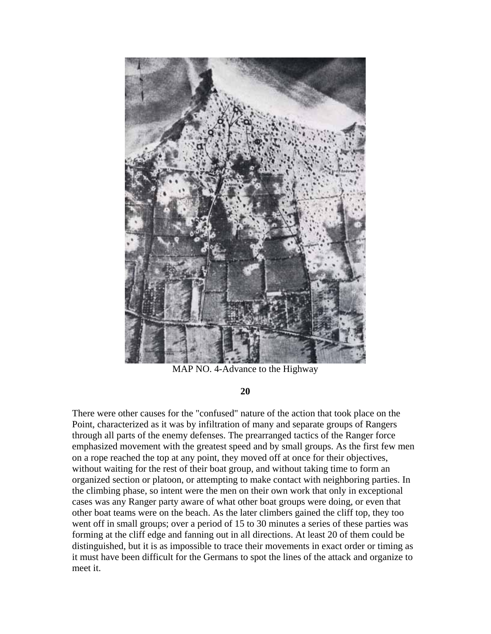

MAP NO. 4-Advance to the Highway

**20**

There were other causes for the "confused" nature of the action that took place on the Point, characterized as it was by infiltration of many and separate groups of Rangers through all parts of the enemy defenses. The prearranged tactics of the Ranger force emphasized movement with the greatest speed and by small groups. As the first few men on a rope reached the top at any point, they moved off at once for their objectives, without waiting for the rest of their boat group, and without taking time to form an organized section or platoon, or attempting to make contact with neighboring parties. In the climbing phase, so intent were the men on their own work that only in exceptional cases was any Ranger party aware of what other boat groups were doing, or even that other boat teams were on the beach. As the later climbers gained the cliff top, they too went off in small groups; over a period of 15 to 30 minutes a series of these parties was forming at the cliff edge and fanning out in all directions. At least 20 of them could be distinguished, but it is as impossible to trace their movements in exact order or timing as it must have been difficult for the Germans to spot the lines of the attack and organize to meet it.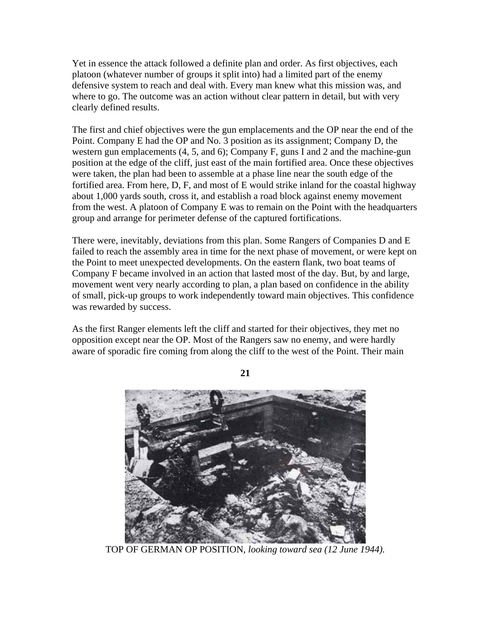Yet in essence the attack followed a definite plan and order. As first objectives, each platoon (whatever number of groups it split into) had a limited part of the enemy defensive system to reach and deal with. Every man knew what this mission was, and where to go. The outcome was an action without clear pattern in detail, but with very clearly defined results.

The first and chief objectives were the gun emplacements and the OP near the end of the Point. Company E had the OP and No. 3 position as its assignment; Company D, the western gun emplacements (4, 5, and 6); Company F, guns I and 2 and the machine-gun position at the edge of the cliff, just east of the main fortified area. Once these objectives were taken, the plan had been to assemble at a phase line near the south edge of the fortified area. From here, D, F, and most of E would strike inland for the coastal highway about 1,000 yards south, cross it, and establish a road block against enemy movement from the west. A platoon of Company E was to remain on the Point with the headquarters group and arrange for perimeter defense of the captured fortifications.

There were, inevitably, deviations from this plan. Some Rangers of Companies D and E failed to reach the assembly area in time for the next phase of movement, or were kept on the Point to meet unexpected developments. On the eastern flank, two boat teams of Company F became involved in an action that lasted most of the day. But, by and large, movement went very nearly according to plan, a plan based on confidence in the ability of small, pick-up groups to work independently toward main objectives. This confidence was rewarded by success.

As the first Ranger elements left the cliff and started for their objectives, they met no opposition except near the OP. Most of the Rangers saw no enemy, and were hardly aware of sporadic fire coming from along the cliff to the west of the Point. Their main



**21** 

TOP OF GERMAN OP POSITION, *looking toward sea (12 June 1944).*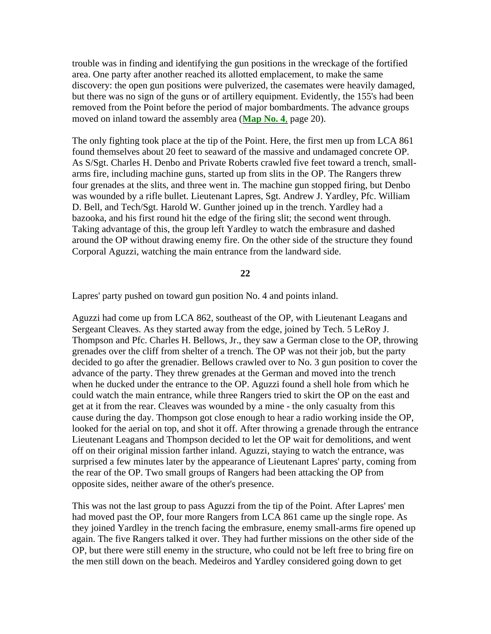trouble was in finding and identifying the gun positions in the wreckage of the fortified area. One party after another reached its allotted emplacement, to make the same discovery: the open gun positions were pulverized, the casemates were heavily damaged, but there was no sign of the guns or of artillery equipment. Evidently, the 155's had been removed from the Point before the period of major bombardments. The advance groups moved on inland toward the assembly area (**Map No. 4**, page 20).

The only fighting took place at the tip of the Point. Here, the first men up from LCA 861 found themselves about 20 feet to seaward of the massive and undamaged concrete OP. As S/Sgt. Charles H. Denbo and Private Roberts crawled five feet toward a trench, smallarms fire, including machine guns, started up from slits in the OP. The Rangers threw four grenades at the slits, and three went in. The machine gun stopped firing, but Denbo was wounded by a rifle bullet. Lieutenant Lapres, Sgt. Andrew J. Yardley, Pfc. William D. Bell, and Tech/Sgt. Harold W. Gunther joined up in the trench. Yardley had a bazooka, and his first round hit the edge of the firing slit; the second went through. Taking advantage of this, the group left Yardley to watch the embrasure and dashed around the OP without drawing enemy fire. On the other side of the structure they found Corporal Aguzzi, watching the main entrance from the landward side.

#### **22**

Lapres' party pushed on toward gun position No. 4 and points inland.

Aguzzi had come up from LCA 862, southeast of the OP, with Lieutenant Leagans and Sergeant Cleaves. As they started away from the edge, joined by Tech. 5 LeRoy J. Thompson and Pfc. Charles H. Bellows, Jr., they saw a German close to the OP, throwing grenades over the cliff from shelter of a trench. The OP was not their job, but the party decided to go after the grenadier. Bellows crawled over to No. 3 gun position to cover the advance of the party. They threw grenades at the German and moved into the trench when he ducked under the entrance to the OP. Aguzzi found a shell hole from which he could watch the main entrance, while three Rangers tried to skirt the OP on the east and get at it from the rear. Cleaves was wounded by a mine - the only casualty from this cause during the day. Thompson got close enough to hear a radio working inside the OP, looked for the aerial on top, and shot it off. After throwing a grenade through the entrance Lieutenant Leagans and Thompson decided to let the OP wait for demolitions, and went off on their original mission farther inland. Aguzzi, staying to watch the entrance, was surprised a few minutes later by the appearance of Lieutenant Lapres' party, coming from the rear of the OP. Two small groups of Rangers had been attacking the OP from opposite sides, neither aware of the other's presence.

This was not the last group to pass Aguzzi from the tip of the Point. After Lapres' men had moved past the OP, four more Rangers from LCA 861 came up the single rope. As they joined Yardley in the trench facing the embrasure, enemy small-arms fire opened up again. The five Rangers talked it over. They had further missions on the other side of the OP, but there were still enemy in the structure, who could not be left free to bring fire on the men still down on the beach. Medeiros and Yardley considered going down to get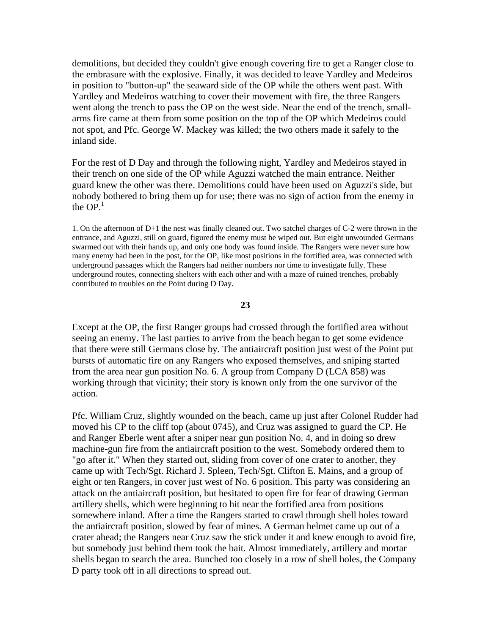demolitions, but decided they couldn't give enough covering fire to get a Ranger close to the embrasure with the explosive. Finally, it was decided to leave Yardley and Medeiros in position to "button-up" the seaward side of the OP while the others went past. With Yardley and Medeiros watching to cover their movement with fire, the three Rangers went along the trench to pass the OP on the west side. Near the end of the trench, smallarms fire came at them from some position on the top of the OP which Medeiros could not spot, and Pfc. George W. Mackey was killed; the two others made it safely to the inland side.

For the rest of D Day and through the following night, Yardley and Medeiros stayed in their trench on one side of the OP while Aguzzi watched the main entrance. Neither guard knew the other was there. Demolitions could have been used on Aguzzi's side, but nobody bothered to bring them up for use; there was no sign of action from the enemy in the  $OP<sup>1</sup>$ 

1. On the afternoon of D+1 the nest was finally cleaned out. Two satchel charges of C-2 were thrown in the entrance, and Aguzzi, still on guard, figured the enemy must be wiped out. But eight unwounded Germans swarmed out with their hands up, and only one body was found inside. The Rangers were never sure how many enemy had been in the post, for the OP, like most positions in the fortified area, was connected with underground passages which the Rangers had neither numbers nor time to investigate fully. These underground routes, connecting shelters with each other and with a maze of ruined trenches, probably contributed to troubles on the Point during D Day.

#### **23**

Except at the OP, the first Ranger groups had crossed through the fortified area without seeing an enemy. The last parties to arrive from the beach began to get some evidence that there were still Germans close by. The antiaircraft position just west of the Point put bursts of automatic fire on any Rangers who exposed themselves, and sniping started from the area near gun position No. 6. A group from Company D (LCA 858) was working through that vicinity; their story is known only from the one survivor of the action.

Pfc. William Cruz, slightly wounded on the beach, came up just after Colonel Rudder had moved his CP to the cliff top (about 0745), and Cruz was assigned to guard the CP. He and Ranger Eberle went after a sniper near gun position No. 4, and in doing so drew machine-gun fire from the antiaircraft position to the west. Somebody ordered them to "go after it." When they started out, sliding from cover of one crater to another, they came up with Tech/Sgt. Richard J. Spleen, Tech/Sgt. Clifton E. Mains, and a group of eight or ten Rangers, in cover just west of No. 6 position. This party was considering an attack on the antiaircraft position, but hesitated to open fire for fear of drawing German artillery shells, which were beginning to hit near the fortified area from positions somewhere inland. After a time the Rangers started to crawl through shell holes toward the antiaircraft position, slowed by fear of mines. A German helmet came up out of a crater ahead; the Rangers near Cruz saw the stick under it and knew enough to avoid fire, but somebody just behind them took the bait. Almost immediately, artillery and mortar shells began to search the area. Bunched too closely in a row of shell holes, the Company D party took off in all directions to spread out.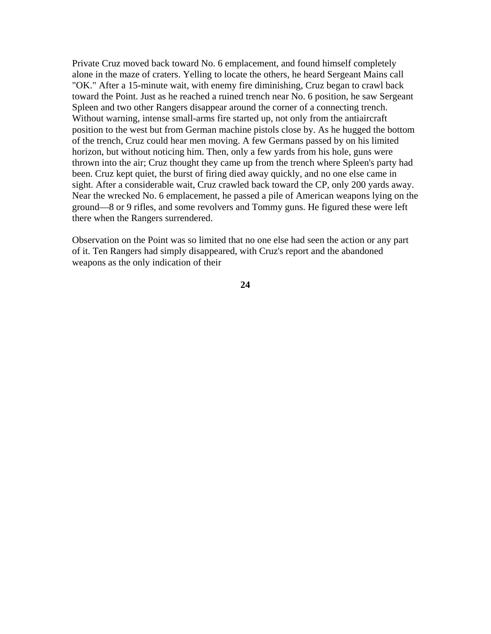Private Cruz moved back toward No. 6 emplacement, and found himself completely alone in the maze of craters. Yelling to locate the others, he heard Sergeant Mains call "OK." After a 15-minute wait, with enemy fire diminishing, Cruz began to crawl back toward the Point. Just as he reached a ruined trench near No. 6 position, he saw Sergeant Spleen and two other Rangers disappear around the corner of a connecting trench. Without warning, intense small-arms fire started up, not only from the antiaircraft position to the west but from German machine pistols close by. As he hugged the bottom of the trench, Cruz could hear men moving. A few Germans passed by on his limited horizon, but without noticing him. Then, only a few yards from his hole, guns were thrown into the air; Cruz thought they came up from the trench where Spleen's party had been. Cruz kept quiet, the burst of firing died away quickly, and no one else came in sight. After a considerable wait, Cruz crawled back toward the CP, only 200 yards away. Near the wrecked No. 6 emplacement, he passed a pile of American weapons lying on the ground—8 or 9 rifles, and some revolvers and Tommy guns. He figured these were left there when the Rangers surrendered.

Observation on the Point was so limited that no one else had seen the action or any part of it. Ten Rangers had simply disappeared, with Cruz's report and the abandoned weapons as the only indication of their

**24**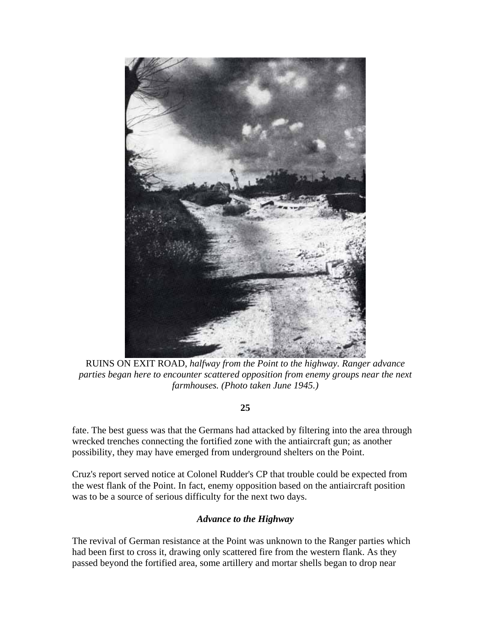

RUINS ON EXIT ROAD, *halfway from the Point to the highway. Ranger advance parties began here to encounter scattered opposition from enemy groups near the next farmhouses. (Photo taken June 1945.)*

**25** 

fate. The best guess was that the Germans had attacked by filtering into the area through wrecked trenches connecting the fortified zone with the antiaircraft gun; as another possibility, they may have emerged from underground shelters on the Point.

Cruz's report served notice at Colonel Rudder's CP that trouble could be expected from the west flank of the Point. In fact, enemy opposition based on the antiaircraft position was to be a source of serious difficulty for the next two days.

# *Advance to the Highway*

The revival of German resistance at the Point was unknown to the Ranger parties which had been first to cross it, drawing only scattered fire from the western flank. As they passed beyond the fortified area, some artillery and mortar shells began to drop near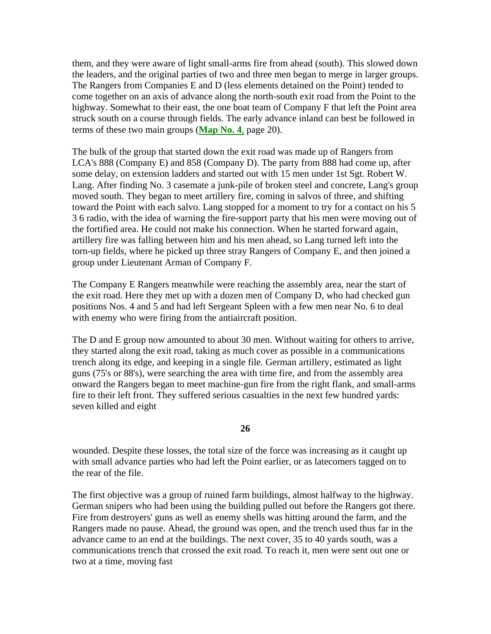them, and they were aware of light small-arms fire from ahead (south). This slowed down the leaders, and the original parties of two and three men began to merge in larger groups. The Rangers from Companies E and D (less elements detained on the Point) tended to come together on an axis of advance along the north-south exit road from the Point to the highway. Somewhat to their east, the one boat team of Company F that left the Point area struck south on a course through fields. The early advance inland can best be followed in terms of these two main groups (**Map No. 4**, page 20).

The bulk of the group that started down the exit road was made up of Rangers from LCA's 888 (Company E) and 858 (Company D). The party from 888 had come up, after some delay, on extension ladders and started out with 15 men under 1st Sgt. Robert W. Lang. After finding No. 3 casemate a junk-pile of broken steel and concrete, Lang's group moved south. They began to meet artillery fire, coming in salvos of three, and shifting toward the Point with each salvo. Lang stopped for a moment to try for a contact on his 5 3 6 radio, with the idea of warning the fire-support party that his men were moving out of the fortified area. He could not make his connection. When he started forward again, artillery fire was falling between him and his men ahead, so Lang turned left into the torn-up fields, where he picked up three stray Rangers of Company E, and then joined a group under Lieutenant Arman of Company F.

The Company E Rangers meanwhile were reaching the assembly area, near the start of the exit road. Here they met up with a dozen men of Company D, who had checked gun positions Nos. 4 and 5 and had left Sergeant Spleen with a few men near No. 6 to deal with enemy who were firing from the antiaircraft position.

The D and E group now amounted to about 30 men. Without waiting for others to arrive, they started along the exit road, taking as much cover as possible in a communications trench along its edge, and keeping in a single file. German artillery, estimated as light guns (75's or 88's), were searching the area with time fire, and from the assembly area onward the Rangers began to meet machine-gun fire from the right flank, and small-arms fire to their left front. They suffered serious casualties in the next few hundred yards: seven killed and eight

**26** 

wounded. Despite these losses, the total size of the force was increasing as it caught up with small advance parties who had left the Point earlier, or as latecomers tagged on to the rear of the file.

The first objective was a group of ruined farm buildings, almost halfway to the highway. German snipers who had been using the building pulled out before the Rangers got there. Fire from destroyers' guns as well as enemy shells was hitting around the farm, and the Rangers made no pause. Ahead, the ground was open, and the trench used thus far in the advance came to an end at the buildings. The next cover, 35 to 40 yards south, was a communications trench that crossed the exit road. To reach it, men were sent out one or two at a time, moving fast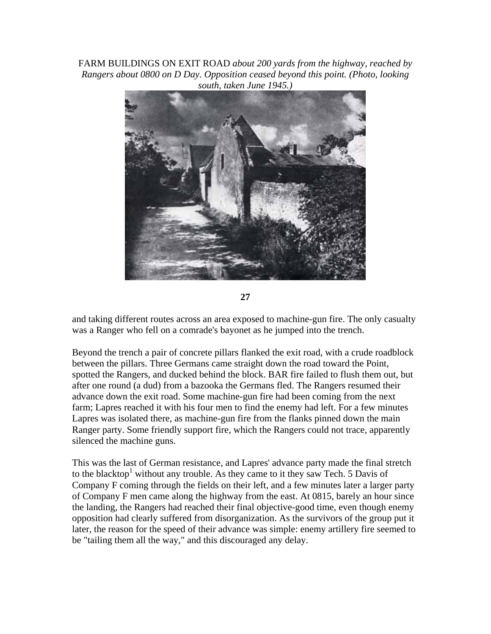FARM BUILDINGS ON EXIT ROAD *about 200 yards from the highway, reached by Rangers about 0800 on D Day. Opposition ceased beyond this point. (Photo, looking south, taken June 1945.)* 



**27**

and taking different routes across an area exposed to machine-gun fire. The only casualty was a Ranger who fell on a comrade's bayonet as he jumped into the trench.

Beyond the trench a pair of concrete pillars flanked the exit road, with a crude roadblock between the pillars. Three Germans came straight down the road toward the Point, spotted the Rangers, and ducked behind the block. BAR fire failed to flush them out, but after one round (a dud) from a bazooka the Germans fled. The Rangers resumed their advance down the exit road. Some machine-gun fire had been coming from the next farm; Lapres reached it with his four men to find the enemy had left. For a few minutes Lapres was isolated there, as machine-gun fire from the flanks pinned down the main Ranger party. Some friendly support fire, which the Rangers could not trace, apparently silenced the machine guns.

This was the last of German resistance, and Lapres' advance party made the final stretch to the blacktop<sup>1</sup> without any trouble. As they came to it they saw Tech. 5 Davis of Company F coming through the fields on their left, and a few minutes later a larger party of Company F men came along the highway from the east. At 0815, barely an hour since the landing, the Rangers had reached their final objective-good time, even though enemy opposition had clearly suffered from disorganization. As the survivors of the group put it later, the reason for the speed of their advance was simple: enemy artillery fire seemed to be "tailing them all the way," and this discouraged any delay.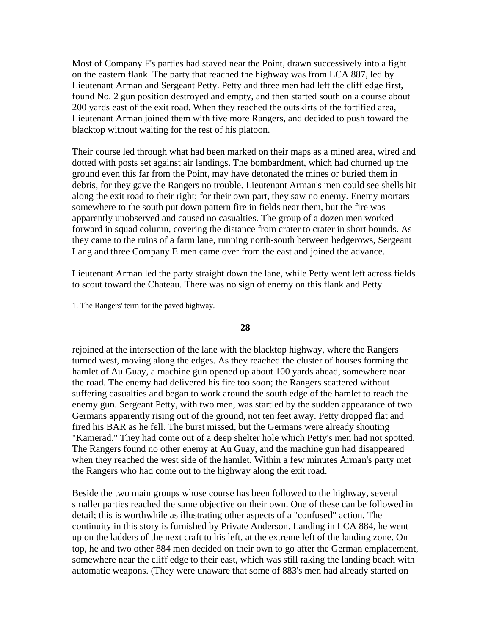Most of Company F's parties had stayed near the Point, drawn successively into a fight on the eastern flank. The party that reached the highway was from LCA 887, led by Lieutenant Arman and Sergeant Petty. Petty and three men had left the cliff edge first, found No. 2 gun position destroyed and empty, and then started south on a course about 200 yards east of the exit road. When they reached the outskirts of the fortified area, Lieutenant Arman joined them with five more Rangers, and decided to push toward the blacktop without waiting for the rest of his platoon.

Their course led through what had been marked on their maps as a mined area, wired and dotted with posts set against air landings. The bombardment, which had churned up the ground even this far from the Point, may have detonated the mines or buried them in debris, for they gave the Rangers no trouble. Lieutenant Arman's men could see shells hit along the exit road to their right; for their own part, they saw no enemy. Enemy mortars somewhere to the south put down pattern fire in fields near them, but the fire was apparently unobserved and caused no casualties. The group of a dozen men worked forward in squad column, covering the distance from crater to crater in short bounds. As they came to the ruins of a farm lane, running north-south between hedgerows, Sergeant Lang and three Company E men came over from the east and joined the advance.

Lieutenant Arman led the party straight down the lane, while Petty went left across fields to scout toward the Chateau. There was no sign of enemy on this flank and Petty

1. The Rangers' term for the paved highway.

#### **28**

rejoined at the intersection of the lane with the blacktop highway, where the Rangers turned west, moving along the edges. As they reached the cluster of houses forming the hamlet of Au Guay, a machine gun opened up about 100 yards ahead, somewhere near the road. The enemy had delivered his fire too soon; the Rangers scattered without suffering casualties and began to work around the south edge of the hamlet to reach the enemy gun. Sergeant Petty, with two men, was startled by the sudden appearance of two Germans apparently rising out of the ground, not ten feet away. Petty dropped flat and fired his BAR as he fell. The burst missed, but the Germans were already shouting "Kamerad." They had come out of a deep shelter hole which Petty's men had not spotted. The Rangers found no other enemy at Au Guay, and the machine gun had disappeared when they reached the west side of the hamlet. Within a few minutes Arman's party met the Rangers who had come out to the highway along the exit road.

Beside the two main groups whose course has been followed to the highway, several smaller parties reached the same objective on their own. One of these can be followed in detail; this is worthwhile as illustrating other aspects of a "confused" action. The continuity in this story is furnished by Private Anderson. Landing in LCA 884, he went up on the ladders of the next craft to his left, at the extreme left of the landing zone. On top, he and two other 884 men decided on their own to go after the German emplacement, somewhere near the cliff edge to their east, which was still raking the landing beach with automatic weapons. (They were unaware that some of 883's men had already started on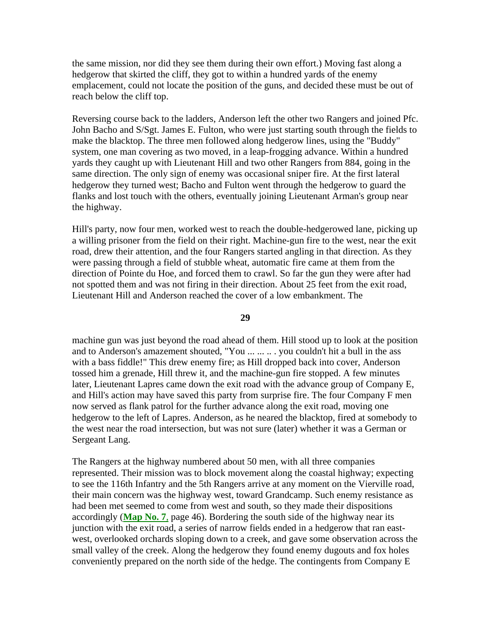the same mission, nor did they see them during their own effort.) Moving fast along a hedgerow that skirted the cliff, they got to within a hundred yards of the enemy emplacement, could not locate the position of the guns, and decided these must be out of reach below the cliff top.

Reversing course back to the ladders, Anderson left the other two Rangers and joined Pfc. John Bacho and S/Sgt. James E. Fulton, who were just starting south through the fields to make the blacktop. The three men followed along hedgerow lines, using the "Buddy" system, one man covering as two moved, in a leap-frogging advance. Within a hundred yards they caught up with Lieutenant Hill and two other Rangers from 884, going in the same direction. The only sign of enemy was occasional sniper fire. At the first lateral hedgerow they turned west; Bacho and Fulton went through the hedgerow to guard the flanks and lost touch with the others, eventually joining Lieutenant Arman's group near the highway.

Hill's party, now four men, worked west to reach the double-hedgerowed lane, picking up a willing prisoner from the field on their right. Machine-gun fire to the west, near the exit road, drew their attention, and the four Rangers started angling in that direction. As they were passing through a field of stubble wheat, automatic fire came at them from the direction of Pointe du Hoe, and forced them to crawl. So far the gun they were after had not spotted them and was not firing in their direction. About 25 feet from the exit road, Lieutenant Hill and Anderson reached the cover of a low embankment. The

#### **29**

machine gun was just beyond the road ahead of them. Hill stood up to look at the position and to Anderson's amazement shouted, "You ... ... .. . you couldn't hit a bull in the ass with a bass fiddle!" This drew enemy fire; as Hill dropped back into cover, Anderson tossed him a grenade, Hill threw it, and the machine-gun fire stopped. A few minutes later, Lieutenant Lapres came down the exit road with the advance group of Company E, and Hill's action may have saved this party from surprise fire. The four Company F men now served as flank patrol for the further advance along the exit road, moving one hedgerow to the left of Lapres. Anderson, as he neared the blacktop, fired at somebody to the west near the road intersection, but was not sure (later) whether it was a German or Sergeant Lang.

The Rangers at the highway numbered about 50 men, with all three companies represented. Their mission was to block movement along the coastal highway; expecting to see the 116th Infantry and the 5th Rangers arrive at any moment on the Vierville road, their main concern was the highway west, toward Grandcamp. Such enemy resistance as had been met seemed to come from west and south, so they made their dispositions accordingly (**Map No. 7**, page 46). Bordering the south side of the highway near its junction with the exit road, a series of narrow fields ended in a hedgerow that ran eastwest, overlooked orchards sloping down to a creek, and gave some observation across the small valley of the creek. Along the hedgerow they found enemy dugouts and fox holes conveniently prepared on the north side of the hedge. The contingents from Company E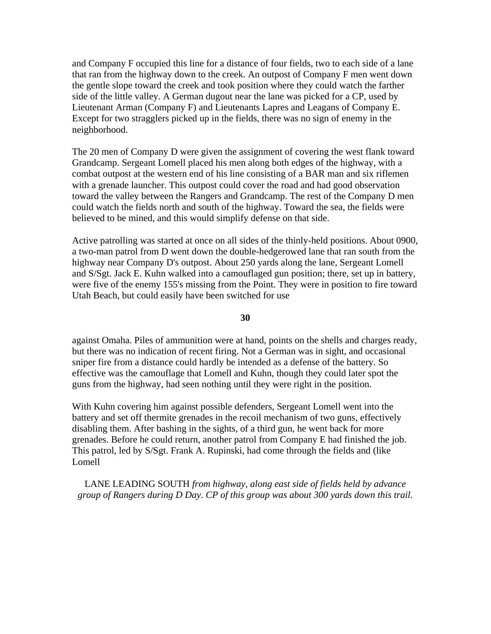and Company F occupied this line for a distance of four fields, two to each side of a lane that ran from the highway down to the creek. An outpost of Company F men went down the gentle slope toward the creek and took position where they could watch the farther side of the little valley. A German dugout near the lane was picked for a CP, used by Lieutenant Arman (Company F) and Lieutenants Lapres and Leagans of Company E. Except for two stragglers picked up in the fields, there was no sign of enemy in the neighborhood.

The 20 men of Company D were given the assignment of covering the west flank toward Grandcamp. Sergeant Lomell placed his men along both edges of the highway, with a combat outpost at the western end of his line consisting of a BAR man and six riflemen with a grenade launcher. This outpost could cover the road and had good observation toward the valley between the Rangers and Grandcamp. The rest of the Company D men could watch the fields north and south of the highway. Toward the sea, the fields were believed to be mined, and this would simplify defense on that side.

Active patrolling was started at once on all sides of the thinly-held positions. About 0900, a two-man patrol from D went down the double-hedgerowed lane that ran south from the highway near Company D's outpost. About 250 yards along the lane, Sergeant Lomell and S/Sgt. Jack E. Kuhn walked into a camouflaged gun position; there, set up in battery, were five of the enemy 155's missing from the Point. They were in position to fire toward Utah Beach, but could easily have been switched for use

#### **30**

against Omaha. Piles of ammunition were at hand, points on the shells and charges ready, but there was no indication of recent firing. Not a German was in sight, and occasional sniper fire from a distance could hardly be intended as a defense of the battery. So effective was the camouflage that Lomell and Kuhn, though they could later spot the guns from the highway, had seen nothing until they were right in the position.

With Kuhn covering him against possible defenders, Sergeant Lomell went into the battery and set off thermite grenades in the recoil mechanism of two guns, effectively disabling them. After bashing in the sights, of a third gun, he went back for more grenades. Before he could return, another patrol from Company E had finished the job. This patrol, led by S/Sgt. Frank A. Rupinski, had come through the fields and (like Lomell

LANE LEADING SOUTH *from highway, along east side of fields held by advance group of Rangers during D Day. CP of this group was about 300 yards down this trail.*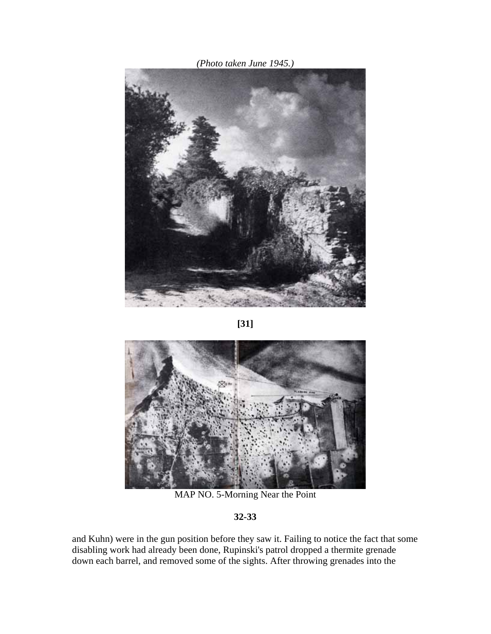*(Photo taken June 1945.)*



MAP NO. 5-Morning Near the Point

# **32-33**

and Kuhn) were in the gun position before they saw it. Failing to notice the fact that some disabling work had already been done, Rupinski's patrol dropped a thermite grenade down each barrel, and removed some of the sights. After throwing grenades into the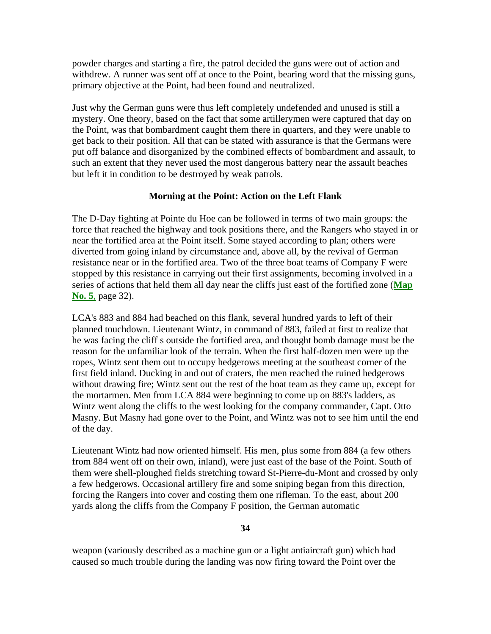powder charges and starting a fire, the patrol decided the guns were out of action and withdrew. A runner was sent off at once to the Point, bearing word that the missing guns, primary objective at the Point, had been found and neutralized.

Just why the German guns were thus left completely undefended and unused is still a mystery. One theory, based on the fact that some artillerymen were captured that day on the Point, was that bombardment caught them there in quarters, and they were unable to get back to their position. All that can be stated with assurance is that the Germans were put off balance and disorganized by the combined effects of bombardment and assault, to such an extent that they never used the most dangerous battery near the assault beaches but left it in condition to be destroyed by weak patrols.

#### **Morning at the Point: Action on the Left Flank**

The D-Day fighting at Pointe du Hoe can be followed in terms of two main groups: the force that reached the highway and took positions there, and the Rangers who stayed in or near the fortified area at the Point itself. Some stayed according to plan; others were diverted from going inland by circumstance and, above all, by the revival of German resistance near or in the fortified area. Two of the three boat teams of Company F were stopped by this resistance in carrying out their first assignments, becoming involved in a series of actions that held them all day near the cliffs just east of the fortified zone (**Map No. 5**, page 32).

LCA's 883 and 884 had beached on this flank, several hundred yards to left of their planned touchdown. Lieutenant Wintz, in command of 883, failed at first to realize that he was facing the cliff s outside the fortified area, and thought bomb damage must be the reason for the unfamiliar look of the terrain. When the first half-dozen men were up the ropes, Wintz sent them out to occupy hedgerows meeting at the southeast corner of the first field inland. Ducking in and out of craters, the men reached the ruined hedgerows without drawing fire; Wintz sent out the rest of the boat team as they came up, except for the mortarmen. Men from LCA 884 were beginning to come up on 883's ladders, as Wintz went along the cliffs to the west looking for the company commander, Capt. Otto Masny. But Masny had gone over to the Point, and Wintz was not to see him until the end of the day.

Lieutenant Wintz had now oriented himself. His men, plus some from 884 (a few others from 884 went off on their own, inland), were just east of the base of the Point. South of them were shell-ploughed fields stretching toward St-Pierre-du-Mont and crossed by only a few hedgerows. Occasional artillery fire and some sniping began from this direction, forcing the Rangers into cover and costing them one rifleman. To the east, about 200 yards along the cliffs from the Company F position, the German automatic

**34** 

weapon (variously described as a machine gun or a light antiaircraft gun) which had caused so much trouble during the landing was now firing toward the Point over the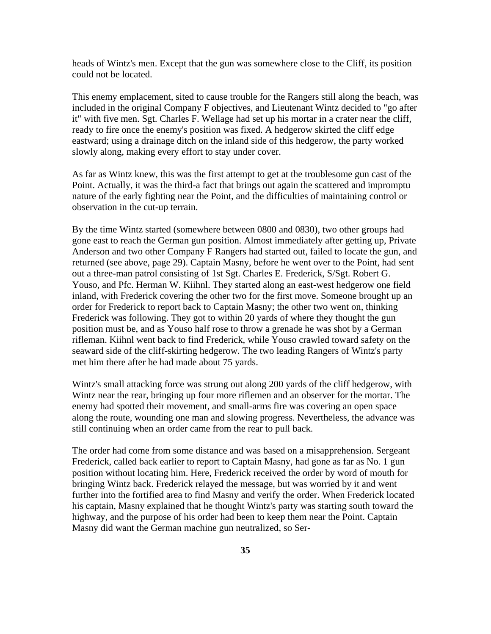heads of Wintz's men. Except that the gun was somewhere close to the Cliff, its position could not be located.

This enemy emplacement, sited to cause trouble for the Rangers still along the beach, was included in the original Company F objectives, and Lieutenant Wintz decided to "go after it" with five men. Sgt. Charles F. Wellage had set up his mortar in a crater near the cliff, ready to fire once the enemy's position was fixed. A hedgerow skirted the cliff edge eastward; using a drainage ditch on the inland side of this hedgerow, the party worked slowly along, making every effort to stay under cover.

As far as Wintz knew, this was the first attempt to get at the troublesome gun cast of the Point. Actually, it was the third-a fact that brings out again the scattered and impromptu nature of the early fighting near the Point, and the difficulties of maintaining control or observation in the cut-up terrain.

By the time Wintz started (somewhere between 0800 and 0830), two other groups had gone east to reach the German gun position. Almost immediately after getting up, Private Anderson and two other Company F Rangers had started out, failed to locate the gun, and returned (see above, page 29). Captain Masny, before he went over to the Point, had sent out a three-man patrol consisting of 1st Sgt. Charles E. Frederick, S/Sgt. Robert G. Youso, and Pfc. Herman W. Kiihnl. They started along an east-west hedgerow one field inland, with Frederick covering the other two for the first move. Someone brought up an order for Frederick to report back to Captain Masny; the other two went on, thinking Frederick was following. They got to within 20 yards of where they thought the gun position must be, and as Youso half rose to throw a grenade he was shot by a German rifleman. Kiihnl went back to find Frederick, while Youso crawled toward safety on the seaward side of the cliff-skirting hedgerow. The two leading Rangers of Wintz's party met him there after he had made about 75 yards.

Wintz's small attacking force was strung out along 200 yards of the cliff hedgerow, with Wintz near the rear, bringing up four more riflemen and an observer for the mortar. The enemy had spotted their movement, and small-arms fire was covering an open space along the route, wounding one man and slowing progress. Nevertheless, the advance was still continuing when an order came from the rear to pull back.

The order had come from some distance and was based on a misapprehension. Sergeant Frederick, called back earlier to report to Captain Masny, had gone as far as No. 1 gun position without locating him. Here, Frederick received the order by word of mouth for bringing Wintz back. Frederick relayed the message, but was worried by it and went further into the fortified area to find Masny and verify the order. When Frederick located his captain, Masny explained that he thought Wintz's party was starting south toward the highway, and the purpose of his order had been to keep them near the Point. Captain Masny did want the German machine gun neutralized, so Ser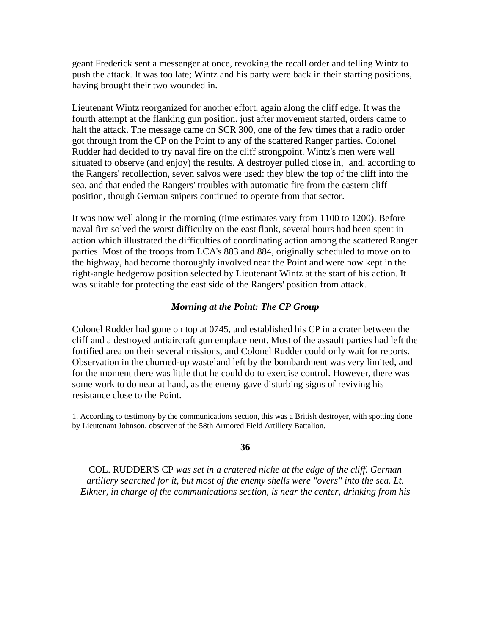geant Frederick sent a messenger at once, revoking the recall order and telling Wintz to push the attack. It was too late; Wintz and his party were back in their starting positions, having brought their two wounded in.

Lieutenant Wintz reorganized for another effort, again along the cliff edge. It was the fourth attempt at the flanking gun position. just after movement started, orders came to halt the attack. The message came on SCR 300, one of the few times that a radio order got through from the CP on the Point to any of the scattered Ranger parties. Colonel Rudder had decided to try naval fire on the cliff strongpoint. Wintz's men were well situated to observe (and enjoy) the results. A destroyer pulled close in, $<sup>1</sup>$  and, according to</sup> the Rangers' recollection, seven salvos were used: they blew the top of the cliff into the sea, and that ended the Rangers' troubles with automatic fire from the eastern cliff position, though German snipers continued to operate from that sector.

It was now well along in the morning (time estimates vary from 1100 to 1200). Before naval fire solved the worst difficulty on the east flank, several hours had been spent in action which illustrated the difficulties of coordinating action among the scattered Ranger parties. Most of the troops from LCA's 883 and 884, originally scheduled to move on to the highway, had become thoroughly involved near the Point and were now kept in the right-angle hedgerow position selected by Lieutenant Wintz at the start of his action. It was suitable for protecting the east side of the Rangers' position from attack.

#### *Morning at the Point: The CP Group*

Colonel Rudder had gone on top at 0745, and established his CP in a crater between the cliff and a destroyed antiaircraft gun emplacement. Most of the assault parties had left the fortified area on their several missions, and Colonel Rudder could only wait for reports. Observation in the churned-up wasteland left by the bombardment was very limited, and for the moment there was little that he could do to exercise control. However, there was some work to do near at hand, as the enemy gave disturbing signs of reviving his resistance close to the Point.

1. According to testimony by the communications section, this was a British destroyer, with spotting done by Lieutenant Johnson, observer of the 58th Armored Field Artillery Battalion.

#### **36**

COL. RUDDER'S CP *was set in a cratered niche at the edge of the cliff. German artillery searched for it, but most of the enemy shells were "overs" into the sea. Lt. Eikner, in charge of the communications section, is near the center, drinking from his*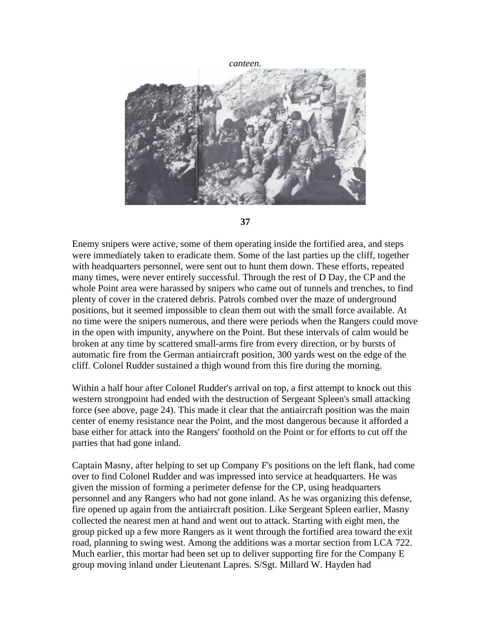



Enemy snipers were active, some of them operating inside the fortified area, and steps were immediately taken to eradicate them. Some of the last parties up the cliff, together with headquarters personnel, were sent out to hunt them down. These efforts, repeated many times, were never entirely successful. Through the rest of D Day, the CP and the whole Point area were harassed by snipers who came out of tunnels and trenches, to find plenty of cover in the cratered debris. Patrols combed over the maze of underground positions, but it seemed impossible to clean them out with the small force available. At no time were the snipers numerous, and there were periods when the Rangers could move in the open with impunity, anywhere on the Point. But these intervals of calm would be broken at any time by scattered small-arms fire from every direction, or by bursts of automatic fire from the German antiaircraft position, 300 yards west on the edge of the cliff. Colonel Rudder sustained a thigh wound from this fire during the morning.

Within a half hour after Colonel Rudder's arrival on top, a first attempt to knock out this western strongpoint had ended with the destruction of Sergeant Spleen's small attacking force (see above, page 24). This made it clear that the antiaircraft position was the main center of enemy resistance near the Point, and the most dangerous because it afforded a base either for attack into the Rangers' foothold on the Point or for efforts to cut off the parties that had gone inland.

Captain Masny, after helping to set up Company F's positions on the left flank, had come over to find Colonel Rudder and was impressed into service at headquarters. He was given the mission of forming a perimeter defense for the CP, using headquarters personnel and any Rangers who had not gone inland. As he was organizing this defense, fire opened up again from the antiaircraft position. Like Sergeant Spleen earlier, Masny collected the nearest men at hand and went out to attack. Starting with eight men, the group picked up a few more Rangers as it went through the fortified area toward the exit road, planning to swing west. Among the additions was a mortar section from LCA 722. Much earlier, this mortar had been set up to deliver supporting fire for the Company E group moving inland under Lieutenant Lapres. S/Sgt. Millard W. Hayden had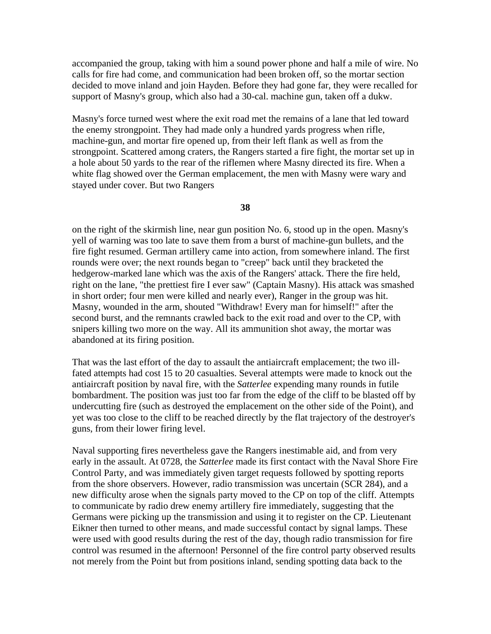accompanied the group, taking with him a sound power phone and half a mile of wire. No calls for fire had come, and communication had been broken off, so the mortar section decided to move inland and join Hayden. Before they had gone far, they were recalled for support of Masny's group, which also had a 30-cal. machine gun, taken off a dukw.

Masny's force turned west where the exit road met the remains of a lane that led toward the enemy strongpoint. They had made only a hundred yards progress when rifle, machine-gun, and mortar fire opened up, from their left flank as well as from the strongpoint. Scattered among craters, the Rangers started a fire fight, the mortar set up in a hole about 50 yards to the rear of the riflemen where Masny directed its fire. When a white flag showed over the German emplacement, the men with Masny were wary and stayed under cover. But two Rangers

#### **38**

on the right of the skirmish line, near gun position No. 6, stood up in the open. Masny's yell of warning was too late to save them from a burst of machine-gun bullets, and the fire fight resumed. German artillery came into action, from somewhere inland. The first rounds were over; the next rounds began to "creep" back until they bracketed the hedgerow-marked lane which was the axis of the Rangers' attack. There the fire held, right on the lane, "the prettiest fire I ever saw" (Captain Masny). His attack was smashed in short order; four men were killed and nearly ever), Ranger in the group was hit. Masny, wounded in the arm, shouted "Withdraw! Every man for himself!" after the second burst, and the remnants crawled back to the exit road and over to the CP, with snipers killing two more on the way. All its ammunition shot away, the mortar was abandoned at its firing position.

That was the last effort of the day to assault the antiaircraft emplacement; the two illfated attempts had cost 15 to 20 casualties. Several attempts were made to knock out the antiaircraft position by naval fire, with the *Satterlee* expending many rounds in futile bombardment. The position was just too far from the edge of the cliff to be blasted off by undercutting fire (such as destroyed the emplacement on the other side of the Point), and yet was too close to the cliff to be reached directly by the flat trajectory of the destroyer's guns, from their lower firing level.

Naval supporting fires nevertheless gave the Rangers inestimable aid, and from very early in the assault. At 0728, the *Satterlee* made its first contact with the Naval Shore Fire Control Party, and was immediately given target requests followed by spotting reports from the shore observers. However, radio transmission was uncertain (SCR 284), and a new difficulty arose when the signals party moved to the CP on top of the cliff. Attempts to communicate by radio drew enemy artillery fire immediately, suggesting that the Germans were picking up the transmission and using it to register on the CP. Lieutenant Eikner then turned to other means, and made successful contact by signal lamps. These were used with good results during the rest of the day, though radio transmission for fire control was resumed in the afternoon! Personnel of the fire control party observed results not merely from the Point but from positions inland, sending spotting data back to the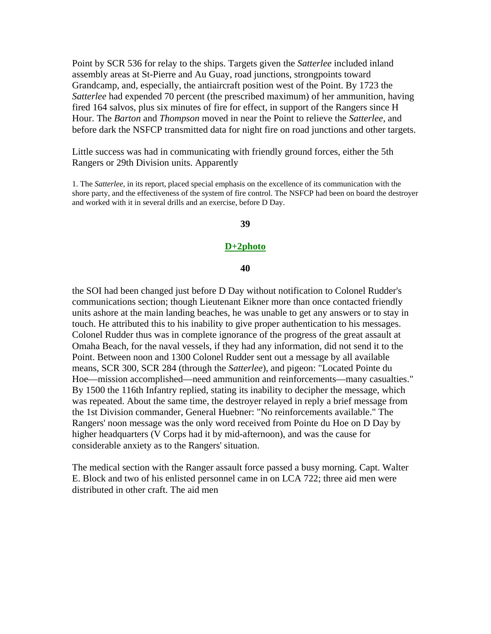Point by SCR 536 for relay to the ships. Targets given the *Satterlee* included inland assembly areas at St-Pierre and Au Guay, road junctions, strongpoints toward Grandcamp, and, especially, the antiaircraft position west of the Point. By 1723 the *Satterlee* had expended 70 percent (the prescribed maximum) of her ammunition, having fired 164 salvos, plus six minutes of fire for effect, in support of the Rangers since H Hour. The *Barton* and *Thompson* moved in near the Point to relieve the *Satterlee*, and before dark the NSFCP transmitted data for night fire on road junctions and other targets.

Little success was had in communicating with friendly ground forces, either the 5th Rangers or 29th Division units. Apparently

1. The *Satterlee*, in its report, placed special emphasis on the excellence of its communication with the shore party, and the effectiveness of the system of fire control. The NSFCP had been on board the destroyer and worked with it in several drills and an exercise, before D Day.

#### **39**

#### **D+2photo**

#### **40**

the SOI had been changed just before D Day without notification to Colonel Rudder's communications section; though Lieutenant Eikner more than once contacted friendly units ashore at the main landing beaches, he was unable to get any answers or to stay in touch. He attributed this to his inability to give proper authentication to his messages. Colonel Rudder thus was in complete ignorance of the progress of the great assault at Omaha Beach, for the naval vessels, if they had any information, did not send it to the Point. Between noon and 1300 Colonel Rudder sent out a message by all available means, SCR 300, SCR 284 (through the *Satterlee*), and pigeon: "Located Pointe du Hoe—mission accomplished—need ammunition and reinforcements—many casualties." By 1500 the 116th Infantry replied, stating its inability to decipher the message, which was repeated. About the same time, the destroyer relayed in reply a brief message from the 1st Division commander, General Huebner: "No reinforcements available." The Rangers' noon message was the only word received from Pointe du Hoe on D Day by higher headquarters (V Corps had it by mid-afternoon), and was the cause for considerable anxiety as to the Rangers' situation.

The medical section with the Ranger assault force passed a busy morning. Capt. Walter E. Block and two of his enlisted personnel came in on LCA 722; three aid men were distributed in other craft. The aid men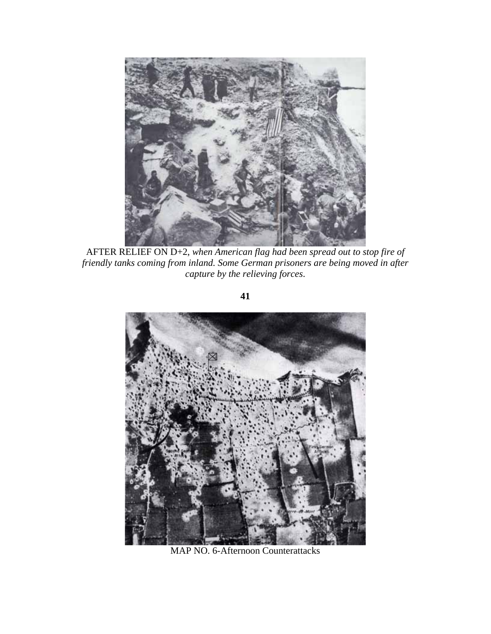

AFTER RELIEF ON D+2, *when American flag had been spread out to stop fire of friendly tanks coming from inland. Some German prisoners are being moved in after capture by the relieving forces*.

**41** 



MAP NO. 6-Afternoon Counterattacks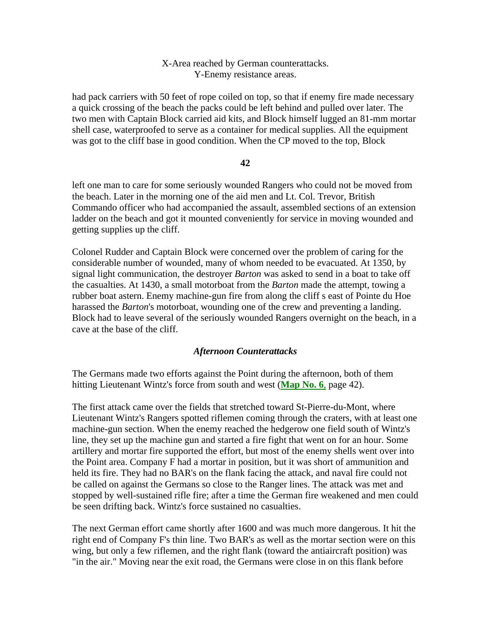## X-Area reached by German counterattacks. Y-Enemy resistance areas.

had pack carriers with 50 feet of rope coiled on top, so that if enemy fire made necessary a quick crossing of the beach the packs could be left behind and pulled over later. The two men with Captain Block carried aid kits, and Block himself lugged an 81-mm mortar shell case, waterproofed to serve as a container for medical supplies. All the equipment was got to the cliff base in good condition. When the CP moved to the top, Block

## **42**

left one man to care for some seriously wounded Rangers who could not be moved from the beach. Later in the morning one of the aid men and Lt. Col. Trevor, British Commando officer who had accompanied the assault, assembled sections of an extension ladder on the beach and got it mounted conveniently for service in moving wounded and getting supplies up the cliff.

Colonel Rudder and Captain Block were concerned over the problem of caring for the considerable number of wounded, many of whom needed to be evacuated. At 1350, by signal light communication, the destroyer *Barton* was asked to send in a boat to take off the casualties. At 1430, a small motorboat from the *Barton* made the attempt, towing a rubber boat astern. Enemy machine-gun fire from along the cliff s east of Pointe du Hoe harassed the *Barton*'s motorboat, wounding one of the crew and preventing a landing. Block had to leave several of the seriously wounded Rangers overnight on the beach, in a cave at the base of the cliff.

## *Afternoon Counterattacks*

The Germans made two efforts against the Point during the afternoon, both of them hitting Lieutenant Wintz's force from south and west (**Map No. 6**, page 42).

The first attack came over the fields that stretched toward St-Pierre-du-Mont, where Lieutenant Wintz's Rangers spotted riflemen coming through the craters, with at least one machine-gun section. When the enemy reached the hedgerow one field south of Wintz's line, they set up the machine gun and started a fire fight that went on for an hour. Some artillery and mortar fire supported the effort, but most of the enemy shells went over into the Point area. Company F had a mortar in position, but it was short of ammunition and held its fire. They had no BAR's on the flank facing the attack, and naval fire could not be called on against the Germans so close to the Ranger lines. The attack was met and stopped by well-sustained rifle fire; after a time the German fire weakened and men could be seen drifting back. Wintz's force sustained no casualties.

The next German effort came shortly after 1600 and was much more dangerous. It hit the right end of Company F's thin line. Two BAR's as well as the mortar section were on this wing, but only a few riflemen, and the right flank (toward the antiaircraft position) was "in the air." Moving near the exit road, the Germans were close in on this flank before